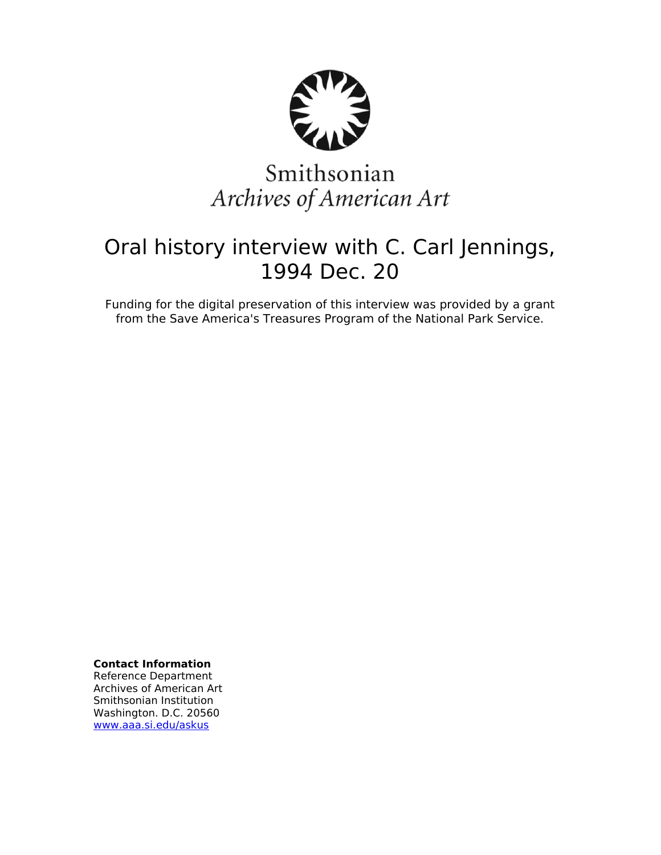

# Smithsonian Archives of American Art

## Oral history interview with C. Carl Jennings, 1994 Dec. 20

Funding for the digital preservation of this interview was provided by a grant from the Save America's Treasures Program of the National Park Service.

**Contact Information**

Reference Department Archives of American Art Smithsonian Institution Washington. D.C. 20560 [www.aaa.si.edu/askus](http://www.aaa.si.edu/askus)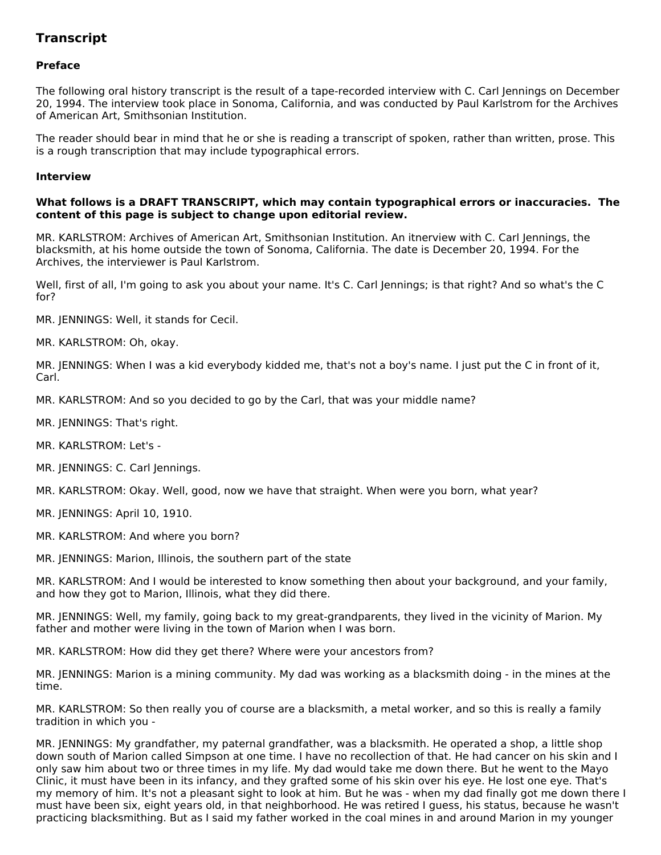### **Transcript**

#### **Preface**

The following oral history transcript is the result of a tape-recorded interview with C. Carl Jennings on December 20, 1994. The interview took place in Sonoma, California, and was conducted by Paul Karlstrom for the Archives of American Art, Smithsonian Institution.

The reader should bear in mind that he or she is reading a transcript of spoken, rather than written, prose. This is a rough transcription that may include typographical errors.

#### **Interview**

#### **What follows is a DRAFT TRANSCRIPT, which may contain typographical errors or inaccuracies. The content of this page is subject to change upon editorial review.**

MR. KARLSTROM: Archives of American Art, Smithsonian Institution. An itnerview with C. Carl Jennings, the blacksmith, at his home outside the town of Sonoma, California. The date is December 20, 1994. For the Archives, the interviewer is Paul Karlstrom.

Well, first of all, I'm going to ask you about your name. It's C. Carl Jennings; is that right? And so what's the C for?

MR. JENNINGS: Well, it stands for Cecil.

MR. KARLSTROM: Oh, okay.

MR. JENNINGS: When I was a kid everybody kidded me, that's not a boy's name. I just put the C in front of it, Carl.

MR. KARLSTROM: And so you decided to go by the Carl, that was your middle name?

MR. JENNINGS: That's right.

- MR. KARLSTROM: Let's -
- MR. JENNINGS: C. Carl Jennings.

MR. KARLSTROM: Okay. Well, good, now we have that straight. When were you born, what year?

- MR. JENNINGS: April 10, 1910.
- MR. KARLSTROM: And where you born?
- MR. JENNINGS: Marion, Illinois, the southern part of the state

MR. KARLSTROM: And I would be interested to know something then about your background, and your family, and how they got to Marion, Illinois, what they did there.

MR. JENNINGS: Well, my family, going back to my great-grandparents, they lived in the vicinity of Marion. My father and mother were living in the town of Marion when I was born.

MR. KARLSTROM: How did they get there? Where were your ancestors from?

MR. JENNINGS: Marion is a mining community. My dad was working as a blacksmith doing - in the mines at the time.

MR. KARLSTROM: So then really you of course are a blacksmith, a metal worker, and so this is really a family tradition in which you -

MR. JENNINGS: My grandfather, my paternal grandfather, was a blacksmith. He operated a shop, a little shop down south of Marion called Simpson at one time. I have no recollection of that. He had cancer on his skin and I only saw him about two or three times in my life. My dad would take me down there. But he went to the Mayo Clinic, it must have been in its infancy, and they grafted some of his skin over his eye. He lost one eye. That's my memory of him. It's not a pleasant sight to look at him. But he was - when my dad finally got me down there I must have been six, eight years old, in that neighborhood. He was retired I guess, his status, because he wasn't practicing blacksmithing. But as I said my father worked in the coal mines in and around Marion in my younger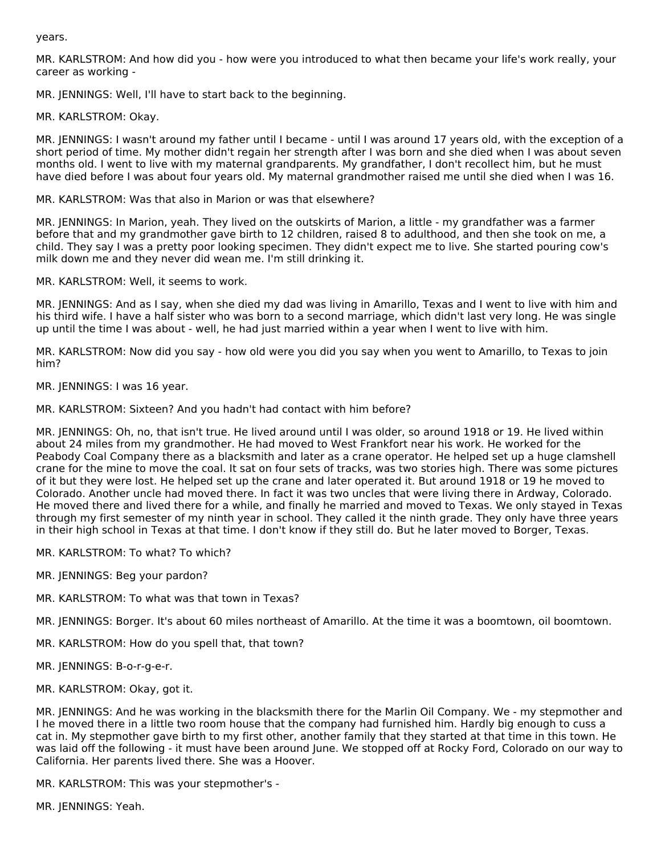years.

MR. KARLSTROM: And how did you - how were you introduced to what then became your life's work really, your career as working -

MR. JENNINGS: Well, I'll have to start back to the beginning.

MR. KARLSTROM: Okay.

MR. JENNINGS: I wasn't around my father until I became - until I was around 17 years old, with the exception of a short period of time. My mother didn't regain her strength after I was born and she died when I was about seven months old. I went to live with my maternal grandparents. My grandfather, I don't recollect him, but he must have died before I was about four years old. My maternal grandmother raised me until she died when I was 16.

MR. KARLSTROM: Was that also in Marion or was that elsewhere?

MR. JENNINGS: In Marion, yeah. They lived on the outskirts of Marion, a little - my grandfather was a farmer before that and my grandmother gave birth to 12 children, raised 8 to adulthood, and then she took on me, a child. They say I was a pretty poor looking specimen. They didn't expect me to live. She started pouring cow's milk down me and they never did wean me. I'm still drinking it.

MR. KARLSTROM: Well, it seems to work.

MR. JENNINGS: And as I say, when she died my dad was living in Amarillo, Texas and I went to live with him and his third wife. I have a half sister who was born to a second marriage, which didn't last very long. He was single up until the time I was about - well, he had just married within a year when I went to live with him.

MR. KARLSTROM: Now did you say - how old were you did you say when you went to Amarillo, to Texas to join him?

MR. JENNINGS: I was 16 year.

MR. KARLSTROM: Sixteen? And you hadn't had contact with him before?

MR. JENNINGS: Oh, no, that isn't true. He lived around until I was older, so around 1918 or 19. He lived within about 24 miles from my grandmother. He had moved to West Frankfort near his work. He worked for the Peabody Coal Company there as a blacksmith and later as a crane operator. He helped set up a huge clamshell crane for the mine to move the coal. It sat on four sets of tracks, was two stories high. There was some pictures of it but they were lost. He helped set up the crane and later operated it. But around 1918 or 19 he moved to Colorado. Another uncle had moved there. In fact it was two uncles that were living there in Ardway, Colorado. He moved there and lived there for a while, and finally he married and moved to Texas. We only stayed in Texas through my first semester of my ninth year in school. They called it the ninth grade. They only have three years in their high school in Texas at that time. I don't know if they still do. But he later moved to Borger, Texas.

MR. KARLSTROM: To what? To which?

MR. JENNINGS: Beg your pardon?

MR. KARLSTROM: To what was that town in Texas?

MR. JENNINGS: Borger. It's about 60 miles northeast of Amarillo. At the time it was a boomtown, oil boomtown.

MR. KARLSTROM: How do you spell that, that town?

MR. JENNINGS: B-o-r-g-e-r.

MR. KARLSTROM: Okay, got it.

MR. JENNINGS: And he was working in the blacksmith there for the Marlin Oil Company. We - my stepmother and I he moved there in a little two room house that the company had furnished him. Hardly big enough to cuss a cat in. My stepmother gave birth to my first other, another family that they started at that time in this town. He was laid off the following - it must have been around June. We stopped off at Rocky Ford, Colorado on our way to California. Her parents lived there. She was a Hoover.

MR. KARLSTROM: This was your stepmother's -

MR. JENNINGS: Yeah.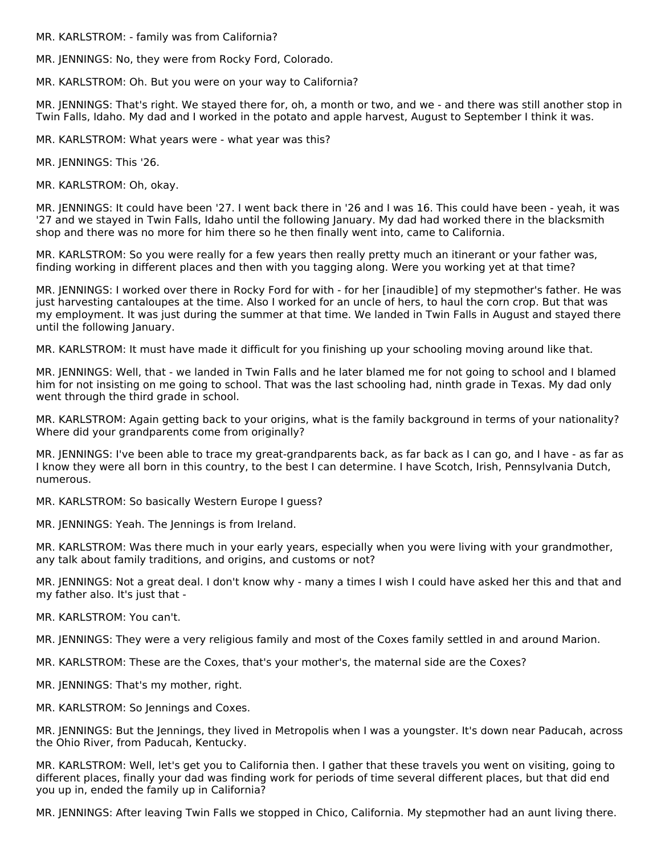MR. KARLSTROM: - family was from California?

MR. JENNINGS: No, they were from Rocky Ford, Colorado.

MR. KARLSTROM: Oh. But you were on your way to California?

MR. JENNINGS: That's right. We stayed there for, oh, a month or two, and we - and there was still another stop in Twin Falls, Idaho. My dad and I worked in the potato and apple harvest, August to September I think it was.

MR. KARLSTROM: What years were - what year was this?

MR. JENNINGS: This '26.

MR. KARLSTROM: Oh, okay.

MR. JENNINGS: It could have been '27. I went back there in '26 and I was 16. This could have been - yeah, it was '27 and we stayed in Twin Falls, Idaho until the following January. My dad had worked there in the blacksmith shop and there was no more for him there so he then finally went into, came to California.

MR. KARLSTROM: So you were really for a few years then really pretty much an itinerant or your father was, finding working in different places and then with you tagging along. Were you working yet at that time?

MR. JENNINGS: I worked over there in Rocky Ford for with - for her [inaudible] of my stepmother's father. He was just harvesting cantaloupes at the time. Also I worked for an uncle of hers, to haul the corn crop. But that was my employment. It was just during the summer at that time. We landed in Twin Falls in August and stayed there until the following January.

MR. KARLSTROM: It must have made it difficult for you finishing up your schooling moving around like that.

MR. JENNINGS: Well, that - we landed in Twin Falls and he later blamed me for not going to school and I blamed him for not insisting on me going to school. That was the last schooling had, ninth grade in Texas. My dad only went through the third grade in school.

MR. KARLSTROM: Again getting back to your origins, what is the family background in terms of your nationality? Where did your grandparents come from originally?

MR. JENNINGS: I've been able to trace my great-grandparents back, as far back as I can go, and I have - as far as I know they were all born in this country, to the best I can determine. I have Scotch, Irish, Pennsylvania Dutch, numerous.

MR. KARLSTROM: So basically Western Europe I guess?

MR. JENNINGS: Yeah. The Jennings is from Ireland.

MR. KARLSTROM: Was there much in your early years, especially when you were living with your grandmother, any talk about family traditions, and origins, and customs or not?

MR. JENNINGS: Not a great deal. I don't know why - many a times I wish I could have asked her this and that and my father also. It's just that -

MR. KARLSTROM: You can't.

MR. JENNINGS: They were a very religious family and most of the Coxes family settled in and around Marion.

MR. KARLSTROM: These are the Coxes, that's your mother's, the maternal side are the Coxes?

MR. JENNINGS: That's my mother, right.

MR. KARLSTROM: So Jennings and Coxes.

MR. JENNINGS: But the Jennings, they lived in Metropolis when I was a youngster. It's down near Paducah, across the Ohio River, from Paducah, Kentucky.

MR. KARLSTROM: Well, let's get you to California then. I gather that these travels you went on visiting, going to different places, finally your dad was finding work for periods of time several different places, but that did end you up in, ended the family up in California?

MR. JENNINGS: After leaving Twin Falls we stopped in Chico, California. My stepmother had an aunt living there.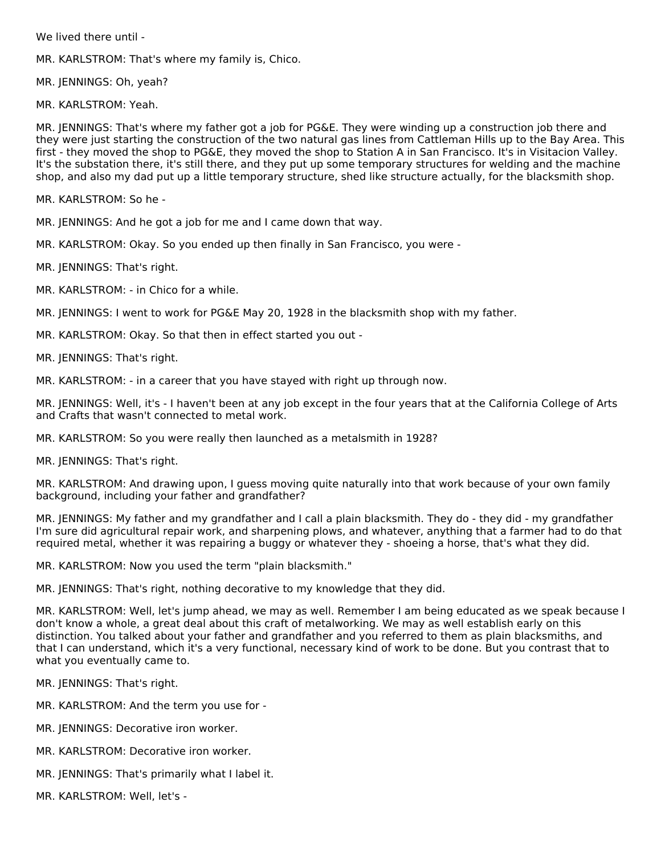We lived there until -

MR. KARLSTROM: That's where my family is, Chico.

MR. JENNINGS: Oh, yeah?

MR. KARLSTROM: Yeah.

MR. JENNINGS: That's where my father got a job for PG&E. They were winding up a construction job there and they were just starting the construction of the two natural gas lines from Cattleman Hills up to the Bay Area. This first - they moved the shop to PG&E, they moved the shop to Station A in San Francisco. It's in Visitacion Valley. It's the substation there, it's still there, and they put up some temporary structures for welding and the machine shop, and also my dad put up a little temporary structure, shed like structure actually, for the blacksmith shop.

MR. KARLSTROM: So he -

MR. JENNINGS: And he got a job for me and I came down that way.

MR. KARLSTROM: Okay. So you ended up then finally in San Francisco, you were -

MR. JENNINGS: That's right.

MR. KARLSTROM: - in Chico for a while.

MR. JENNINGS: I went to work for PG&E May 20, 1928 in the blacksmith shop with my father.

MR. KARLSTROM: Okay. So that then in effect started you out -

MR. JENNINGS: That's right.

MR. KARLSTROM: - in a career that you have stayed with right up through now.

MR. JENNINGS: Well, it's - I haven't been at any job except in the four years that at the California College of Arts and Crafts that wasn't connected to metal work.

MR. KARLSTROM: So you were really then launched as a metalsmith in 1928?

MR. JENNINGS: That's right.

MR. KARLSTROM: And drawing upon, I guess moving quite naturally into that work because of your own family background, including your father and grandfather?

MR. JENNINGS: My father and my grandfather and I call a plain blacksmith. They do - they did - my grandfather I'm sure did agricultural repair work, and sharpening plows, and whatever, anything that a farmer had to do that required metal, whether it was repairing a buggy or whatever they - shoeing a horse, that's what they did.

MR. KARLSTROM: Now you used the term "plain blacksmith."

MR. JENNINGS: That's right, nothing decorative to my knowledge that they did.

MR. KARLSTROM: Well, let's jump ahead, we may as well. Remember I am being educated as we speak because I don't know a whole, a great deal about this craft of metalworking. We may as well establish early on this distinction. You talked about your father and grandfather and you referred to them as plain blacksmiths, and that I can understand, which it's a very functional, necessary kind of work to be done. But you contrast that to what you eventually came to.

MR. JENNINGS: That's right.

MR. KARLSTROM: And the term you use for -

MR. JENNINGS: Decorative iron worker.

MR. KARLSTROM: Decorative iron worker.

MR. JENNINGS: That's primarily what I label it.

MR. KARLSTROM: Well, let's -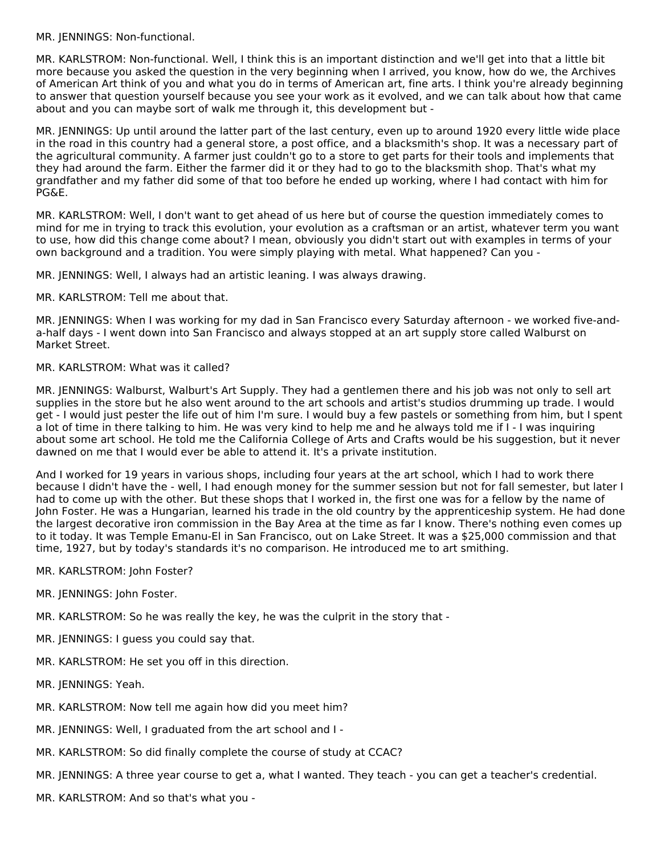MR. JENNINGS: Non-functional.

MR. KARLSTROM: Non-functional. Well, I think this is an important distinction and we'll get into that a little bit more because you asked the question in the very beginning when I arrived, you know, how do we, the Archives of American Art think of you and what you do in terms of American art, fine arts. I think you're already beginning to answer that question yourself because you see your work as it evolved, and we can talk about how that came about and you can maybe sort of walk me through it, this development but -

MR. JENNINGS: Up until around the latter part of the last century, even up to around 1920 every little wide place in the road in this country had a general store, a post office, and a blacksmith's shop. It was a necessary part of the agricultural community. A farmer just couldn't go to a store to get parts for their tools and implements that they had around the farm. Either the farmer did it or they had to go to the blacksmith shop. That's what my grandfather and my father did some of that too before he ended up working, where I had contact with him for PG&E.

MR. KARLSTROM: Well, I don't want to get ahead of us here but of course the question immediately comes to mind for me in trying to track this evolution, your evolution as a craftsman or an artist, whatever term you want to use, how did this change come about? I mean, obviously you didn't start out with examples in terms of your own background and a tradition. You were simply playing with metal. What happened? Can you -

MR. JENNINGS: Well, I always had an artistic leaning. I was always drawing.

MR. KARLSTROM: Tell me about that.

MR. JENNINGS: When I was working for my dad in San Francisco every Saturday afternoon - we worked five-anda-half days - I went down into San Francisco and always stopped at an art supply store called Walburst on Market Street.

#### MR. KARLSTROM: What was it called?

MR. JENNINGS: Walburst, Walburt's Art Supply. They had a gentlemen there and his job was not only to sell art supplies in the store but he also went around to the art schools and artist's studios drumming up trade. I would get - I would just pester the life out of him I'm sure. I would buy a few pastels or something from him, but I spent a lot of time in there talking to him. He was very kind to help me and he always told me if I - I was inquiring about some art school. He told me the California College of Arts and Crafts would be his suggestion, but it never dawned on me that I would ever be able to attend it. It's a private institution.

And I worked for 19 years in various shops, including four years at the art school, which I had to work there because I didn't have the - well, I had enough money for the summer session but not for fall semester, but later I had to come up with the other. But these shops that I worked in, the first one was for a fellow by the name of John Foster. He was a Hungarian, learned his trade in the old country by the apprenticeship system. He had done the largest decorative iron commission in the Bay Area at the time as far I know. There's nothing even comes up to it today. It was Temple Emanu-El in San Francisco, out on Lake Street. It was a \$25,000 commission and that time, 1927, but by today's standards it's no comparison. He introduced me to art smithing.

- MR. KARLSTROM: John Foster?
- MR. JENNINGS: John Foster.
- MR. KARLSTROM: So he was really the key, he was the culprit in the story that -
- MR. JENNINGS: I guess you could say that.
- MR. KARLSTROM: He set you off in this direction.
- MR. JENNINGS: Yeah.
- MR. KARLSTROM: Now tell me again how did you meet him?
- MR. JENNINGS: Well, I graduated from the art school and I -
- MR. KARLSTROM: So did finally complete the course of study at CCAC?
- MR. JENNINGS: A three year course to get a, what I wanted. They teach you can get a teacher's credential.
- MR. KARLSTROM: And so that's what you -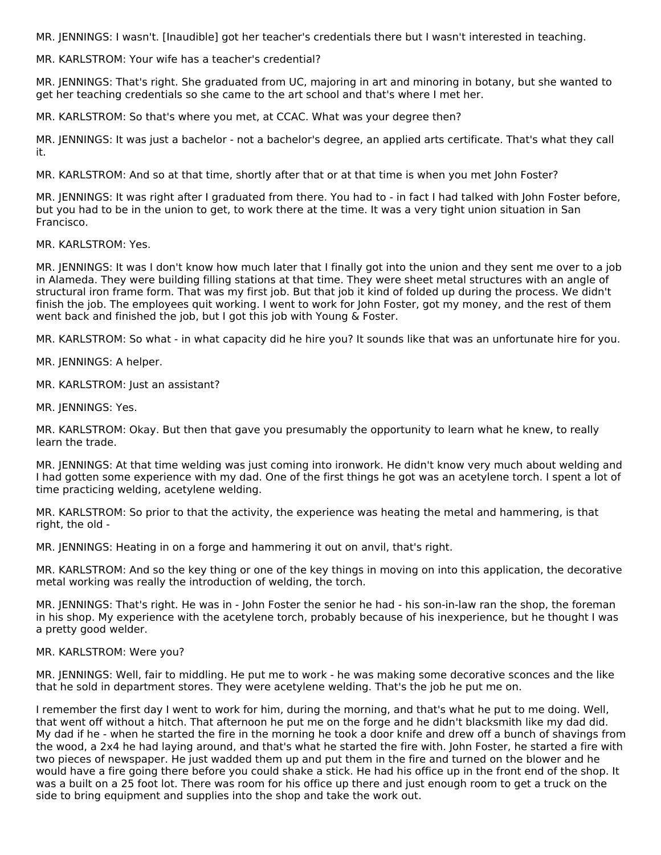MR. JENNINGS: I wasn't. [Inaudible] got her teacher's credentials there but I wasn't interested in teaching.

MR. KARLSTROM: Your wife has a teacher's credential?

MR. JENNINGS: That's right. She graduated from UC, majoring in art and minoring in botany, but she wanted to get her teaching credentials so she came to the art school and that's where I met her.

MR. KARLSTROM: So that's where you met, at CCAC. What was your degree then?

MR. JENNINGS: It was just a bachelor - not a bachelor's degree, an applied arts certificate. That's what they call it.

MR. KARLSTROM: And so at that time, shortly after that or at that time is when you met John Foster?

MR. JENNINGS: It was right after I graduated from there. You had to - in fact I had talked with John Foster before, but you had to be in the union to get, to work there at the time. It was a very tight union situation in San Francisco.

MR. KARLSTROM: Yes.

MR. JENNINGS: It was I don't know how much later that I finally got into the union and they sent me over to a job in Alameda. They were building filling stations at that time. They were sheet metal structures with an angle of structural iron frame form. That was my first job. But that job it kind of folded up during the process. We didn't finish the job. The employees quit working. I went to work for John Foster, got my money, and the rest of them went back and finished the job, but I got this job with Young & Foster.

MR. KARLSTROM: So what - in what capacity did he hire you? It sounds like that was an unfortunate hire for you.

MR. JENNINGS: A helper.

MR. KARLSTROM: Just an assistant?

MR. JENNINGS: Yes.

MR. KARLSTROM: Okay. But then that gave you presumably the opportunity to learn what he knew, to really learn the trade.

MR. JENNINGS: At that time welding was just coming into ironwork. He didn't know very much about welding and I had gotten some experience with my dad. One of the first things he got was an acetylene torch. I spent a lot of time practicing welding, acetylene welding.

MR. KARLSTROM: So prior to that the activity, the experience was heating the metal and hammering, is that right, the old -

MR. JENNINGS: Heating in on a forge and hammering it out on anvil, that's right.

MR. KARLSTROM: And so the key thing or one of the key things in moving on into this application, the decorative metal working was really the introduction of welding, the torch.

MR. JENNINGS: That's right. He was in - John Foster the senior he had - his son-in-law ran the shop, the foreman in his shop. My experience with the acetylene torch, probably because of his inexperience, but he thought I was a pretty good welder.

MR. KARLSTROM: Were you?

MR. JENNINGS: Well, fair to middling. He put me to work - he was making some decorative sconces and the like that he sold in department stores. They were acetylene welding. That's the job he put me on.

I remember the first day I went to work for him, during the morning, and that's what he put to me doing. Well, that went off without a hitch. That afternoon he put me on the forge and he didn't blacksmith like my dad did. My dad if he - when he started the fire in the morning he took a door knife and drew off a bunch of shavings from the wood, a 2x4 he had laying around, and that's what he started the fire with. John Foster, he started a fire with two pieces of newspaper. He just wadded them up and put them in the fire and turned on the blower and he would have a fire going there before you could shake a stick. He had his office up in the front end of the shop. It was a built on a 25 foot lot. There was room for his office up there and just enough room to get a truck on the side to bring equipment and supplies into the shop and take the work out.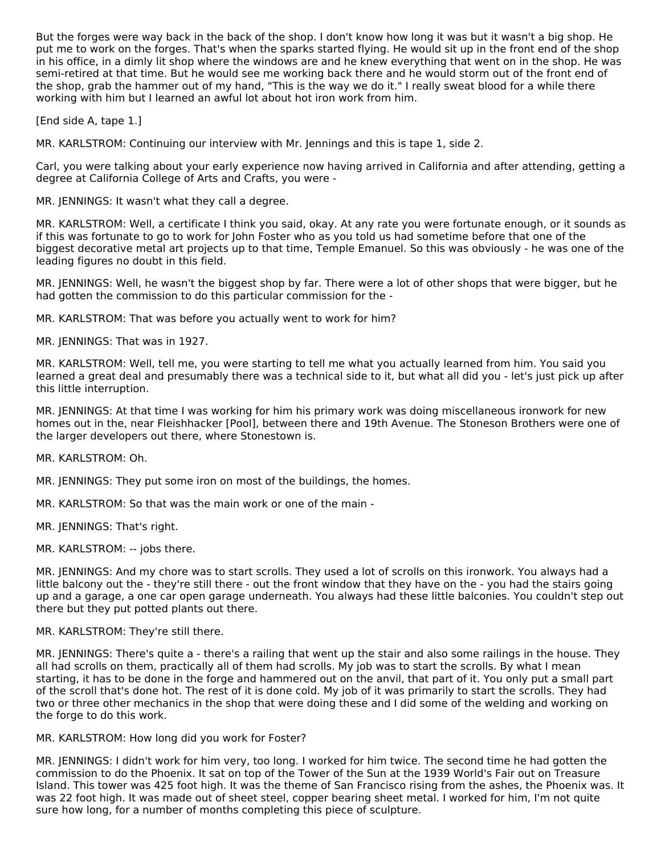But the forges were way back in the back of the shop. I don't know how long it was but it wasn't a big shop. He put me to work on the forges. That's when the sparks started flying. He would sit up in the front end of the shop in his office, in a dimly lit shop where the windows are and he knew everything that went on in the shop. He was semi-retired at that time. But he would see me working back there and he would storm out of the front end of the shop, grab the hammer out of my hand, "This is the way we do it." I really sweat blood for a while there working with him but I learned an awful lot about hot iron work from him.

[End side A, tape 1.]

MR. KARLSTROM: Continuing our interview with Mr. Jennings and this is tape 1, side 2.

Carl, you were talking about your early experience now having arrived in California and after attending, getting a degree at California College of Arts and Crafts, you were -

MR. JENNINGS: It wasn't what they call a degree.

MR. KARLSTROM: Well, a certificate I think you said, okay. At any rate you were fortunate enough, or it sounds as if this was fortunate to go to work for John Foster who as you told us had sometime before that one of the biggest decorative metal art projects up to that time, Temple Emanuel. So this was obviously - he was one of the leading figures no doubt in this field.

MR. JENNINGS: Well, he wasn't the biggest shop by far. There were a lot of other shops that were bigger, but he had gotten the commission to do this particular commission for the -

MR. KARLSTROM: That was before you actually went to work for him?

MR. JENNINGS: That was in 1927.

MR. KARLSTROM: Well, tell me, you were starting to tell me what you actually learned from him. You said you learned a great deal and presumably there was a technical side to it, but what all did you - let's just pick up after this little interruption.

MR. JENNINGS: At that time I was working for him his primary work was doing miscellaneous ironwork for new homes out in the, near Fleishhacker [Pool], between there and 19th Avenue. The Stoneson Brothers were one of the larger developers out there, where Stonestown is.

MR. KARLSTROM: Oh.

MR. JENNINGS: They put some iron on most of the buildings, the homes.

MR. KARLSTROM: So that was the main work or one of the main -

MR. JENNINGS: That's right.

MR. KARLSTROM: -- jobs there.

MR. JENNINGS: And my chore was to start scrolls. They used a lot of scrolls on this ironwork. You always had a little balcony out the - they're still there - out the front window that they have on the - you had the stairs going up and a garage, a one car open garage underneath. You always had these little balconies. You couldn't step out there but they put potted plants out there.

#### MR. KARLSTROM: They're still there.

MR. JENNINGS: There's quite a - there's a railing that went up the stair and also some railings in the house. They all had scrolls on them, practically all of them had scrolls. My job was to start the scrolls. By what I mean starting, it has to be done in the forge and hammered out on the anvil, that part of it. You only put a small part of the scroll that's done hot. The rest of it is done cold. My job of it was primarily to start the scrolls. They had two or three other mechanics in the shop that were doing these and I did some of the welding and working on the forge to do this work.

MR. KARLSTROM: How long did you work for Foster?

MR. JENNINGS: I didn't work for him very, too long. I worked for him twice. The second time he had gotten the commission to do the Phoenix. It sat on top of the Tower of the Sun at the 1939 World's Fair out on Treasure Island. This tower was 425 foot high. It was the theme of San Francisco rising from the ashes, the Phoenix was. It was 22 foot high. It was made out of sheet steel, copper bearing sheet metal. I worked for him, I'm not quite sure how long, for a number of months completing this piece of sculpture.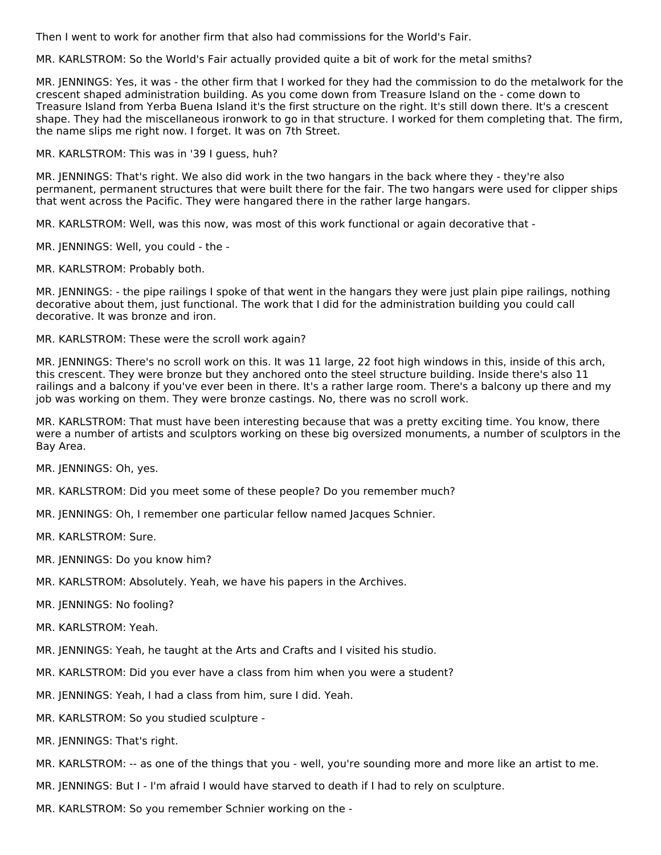Then I went to work for another firm that also had commissions for the World's Fair.

MR. KARLSTROM: So the World's Fair actually provided quite a bit of work for the metal smiths?

MR. JENNINGS: Yes, it was - the other firm that I worked for they had the commission to do the metalwork for the crescent shaped administration building. As you come down from Treasure Island on the - come down to Treasure Island from Yerba Buena Island it's the first structure on the right. It's still down there. It's a crescent shape. They had the miscellaneous ironwork to go in that structure. I worked for them completing that. The firm, the name slips me right now. I forget. It was on 7th Street.

MR. KARLSTROM: This was in '39 I guess, huh?

MR. JENNINGS: That's right. We also did work in the two hangars in the back where they - they're also permanent, permanent structures that were built there for the fair. The two hangars were used for clipper ships that went across the Pacific. They were hangared there in the rather large hangars.

MR. KARLSTROM: Well, was this now, was most of this work functional or again decorative that -

MR. JENNINGS: Well, you could - the -

MR. KARLSTROM: Probably both.

MR. JENNINGS: - the pipe railings I spoke of that went in the hangars they were just plain pipe railings, nothing decorative about them, just functional. The work that I did for the administration building you could call decorative. It was bronze and iron.

MR. KARLSTROM: These were the scroll work again?

MR. JENNINGS: There's no scroll work on this. It was 11 large, 22 foot high windows in this, inside of this arch, this crescent. They were bronze but they anchored onto the steel structure building. Inside there's also 11 railings and a balcony if you've ever been in there. It's a rather large room. There's a balcony up there and my job was working on them. They were bronze castings. No, there was no scroll work.

MR. KARLSTROM: That must have been interesting because that was a pretty exciting time. You know, there were a number of artists and sculptors working on these big oversized monuments, a number of sculptors in the Bay Area.

MR. JENNINGS: Oh, yes.

MR. KARLSTROM: Did you meet some of these people? Do you remember much?

MR. JENNINGS: Oh, I remember one particular fellow named Jacques Schnier.

MR. KARLSTROM: Sure.

- MR. JENNINGS: Do you know him?
- MR. KARLSTROM: Absolutely. Yeah, we have his papers in the Archives.
- MR. JENNINGS: No fooling?

MR. KARLSTROM: Yeah.

MR. JENNINGS: Yeah, he taught at the Arts and Crafts and I visited his studio.

MR. KARLSTROM: Did you ever have a class from him when you were a student?

MR. JENNINGS: Yeah, I had a class from him, sure I did. Yeah.

MR. KARLSTROM: So you studied sculpture -

MR. JENNINGS: That's right.

MR. KARLSTROM: -- as one of the things that you - well, you're sounding more and more like an artist to me.

MR. JENNINGS: But I - I'm afraid I would have starved to death if I had to rely on sculpture.

MR. KARLSTROM: So you remember Schnier working on the -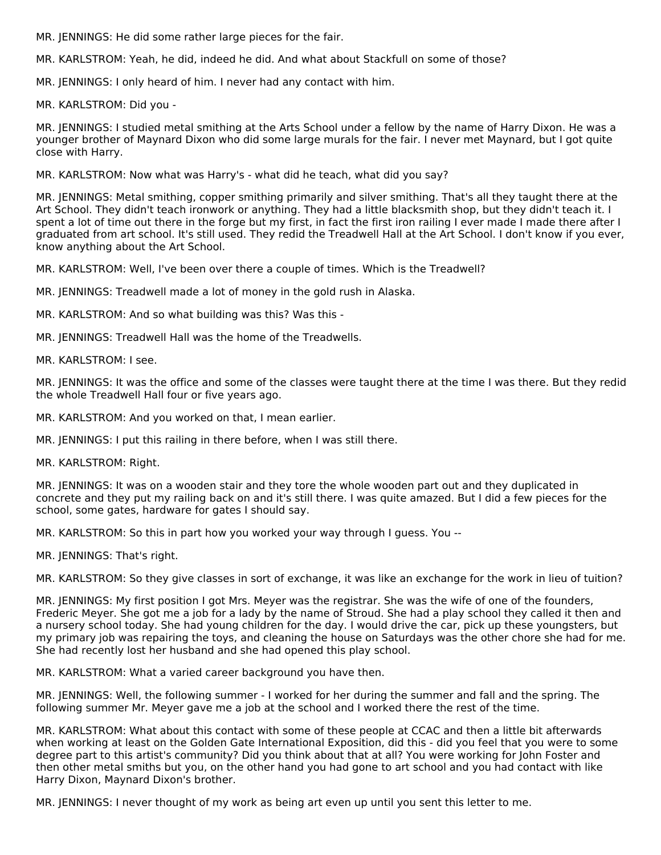MR. JENNINGS: He did some rather large pieces for the fair.

MR. KARLSTROM: Yeah, he did, indeed he did. And what about Stackfull on some of those?

MR. JENNINGS: I only heard of him. I never had any contact with him.

MR. KARLSTROM: Did you -

MR. JENNINGS: I studied metal smithing at the Arts School under a fellow by the name of Harry Dixon. He was a younger brother of Maynard Dixon who did some large murals for the fair. I never met Maynard, but I got quite close with Harry.

MR. KARLSTROM: Now what was Harry's - what did he teach, what did you say?

MR. JENNINGS: Metal smithing, copper smithing primarily and silver smithing. That's all they taught there at the Art School. They didn't teach ironwork or anything. They had a little blacksmith shop, but they didn't teach it. I spent a lot of time out there in the forge but my first, in fact the first iron railing I ever made I made there after I graduated from art school. It's still used. They redid the Treadwell Hall at the Art School. I don't know if you ever, know anything about the Art School.

MR. KARLSTROM: Well, I've been over there a couple of times. Which is the Treadwell?

MR. JENNINGS: Treadwell made a lot of money in the gold rush in Alaska.

MR. KARLSTROM: And so what building was this? Was this -

MR. JENNINGS: Treadwell Hall was the home of the Treadwells.

MR. KARLSTROM: I see.

MR. JENNINGS: It was the office and some of the classes were taught there at the time I was there. But they redid the whole Treadwell Hall four or five years ago.

MR. KARLSTROM: And you worked on that, I mean earlier.

MR. JENNINGS: I put this railing in there before, when I was still there.

MR. KARLSTROM: Right.

MR. JENNINGS: It was on a wooden stair and they tore the whole wooden part out and they duplicated in concrete and they put my railing back on and it's still there. I was quite amazed. But I did a few pieces for the school, some gates, hardware for gates I should say.

MR. KARLSTROM: So this in part how you worked your way through I guess. You --

MR. JENNINGS: That's right.

MR. KARLSTROM: So they give classes in sort of exchange, it was like an exchange for the work in lieu of tuition?

MR. JENNINGS: My first position I got Mrs. Meyer was the registrar. She was the wife of one of the founders, Frederic Meyer. She got me a job for a lady by the name of Stroud. She had a play school they called it then and a nursery school today. She had young children for the day. I would drive the car, pick up these youngsters, but my primary job was repairing the toys, and cleaning the house on Saturdays was the other chore she had for me. She had recently lost her husband and she had opened this play school.

MR. KARLSTROM: What a varied career background you have then.

MR. JENNINGS: Well, the following summer - I worked for her during the summer and fall and the spring. The following summer Mr. Meyer gave me a job at the school and I worked there the rest of the time.

MR. KARLSTROM: What about this contact with some of these people at CCAC and then a little bit afterwards when working at least on the Golden Gate International Exposition, did this - did you feel that you were to some degree part to this artist's community? Did you think about that at all? You were working for John Foster and then other metal smiths but you, on the other hand you had gone to art school and you had contact with like Harry Dixon, Maynard Dixon's brother.

MR. JENNINGS: I never thought of my work as being art even up until you sent this letter to me.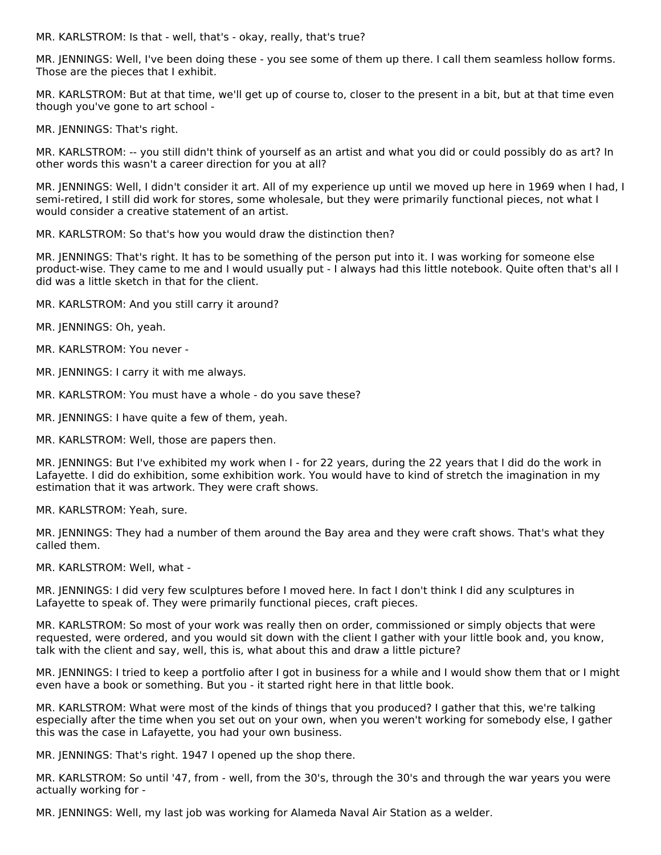MR. KARLSTROM: Is that - well, that's - okay, really, that's true?

MR. JENNINGS: Well, I've been doing these - you see some of them up there. I call them seamless hollow forms. Those are the pieces that I exhibit.

MR. KARLSTROM: But at that time, we'll get up of course to, closer to the present in a bit, but at that time even though you've gone to art school -

MR. JENNINGS: That's right.

MR. KARLSTROM: -- you still didn't think of yourself as an artist and what you did or could possibly do as art? In other words this wasn't a career direction for you at all?

MR. JENNINGS: Well, I didn't consider it art. All of my experience up until we moved up here in 1969 when I had, I semi-retired, I still did work for stores, some wholesale, but they were primarily functional pieces, not what I would consider a creative statement of an artist.

MR. KARLSTROM: So that's how you would draw the distinction then?

MR. JENNINGS: That's right. It has to be something of the person put into it. I was working for someone else product-wise. They came to me and I would usually put - I always had this little notebook. Quite often that's all I did was a little sketch in that for the client.

- MR. KARLSTROM: And you still carry it around?
- MR. JENNINGS: Oh, yeah.
- MR. KARLSTROM: You never -
- MR. JENNINGS: I carry it with me always.
- MR. KARLSTROM: You must have a whole do you save these?
- MR. JENNINGS: I have quite a few of them, yeah.
- MR. KARLSTROM: Well, those are papers then.

MR. JENNINGS: But I've exhibited my work when I - for 22 years, during the 22 years that I did do the work in Lafayette. I did do exhibition, some exhibition work. You would have to kind of stretch the imagination in my estimation that it was artwork. They were craft shows.

MR. KARLSTROM: Yeah, sure.

MR. JENNINGS: They had a number of them around the Bay area and they were craft shows. That's what they called them.

MR. KARLSTROM: Well, what -

MR. JENNINGS: I did very few sculptures before I moved here. In fact I don't think I did any sculptures in Lafayette to speak of. They were primarily functional pieces, craft pieces.

MR. KARLSTROM: So most of your work was really then on order, commissioned or simply objects that were requested, were ordered, and you would sit down with the client I gather with your little book and, you know, talk with the client and say, well, this is, what about this and draw a little picture?

MR. JENNINGS: I tried to keep a portfolio after I got in business for a while and I would show them that or I might even have a book or something. But you - it started right here in that little book.

MR. KARLSTROM: What were most of the kinds of things that you produced? I gather that this, we're talking especially after the time when you set out on your own, when you weren't working for somebody else, I gather this was the case in Lafayette, you had your own business.

MR. JENNINGS: That's right. 1947 I opened up the shop there.

MR. KARLSTROM: So until '47, from - well, from the 30's, through the 30's and through the war years you were actually working for -

MR. JENNINGS: Well, my last job was working for Alameda Naval Air Station as a welder.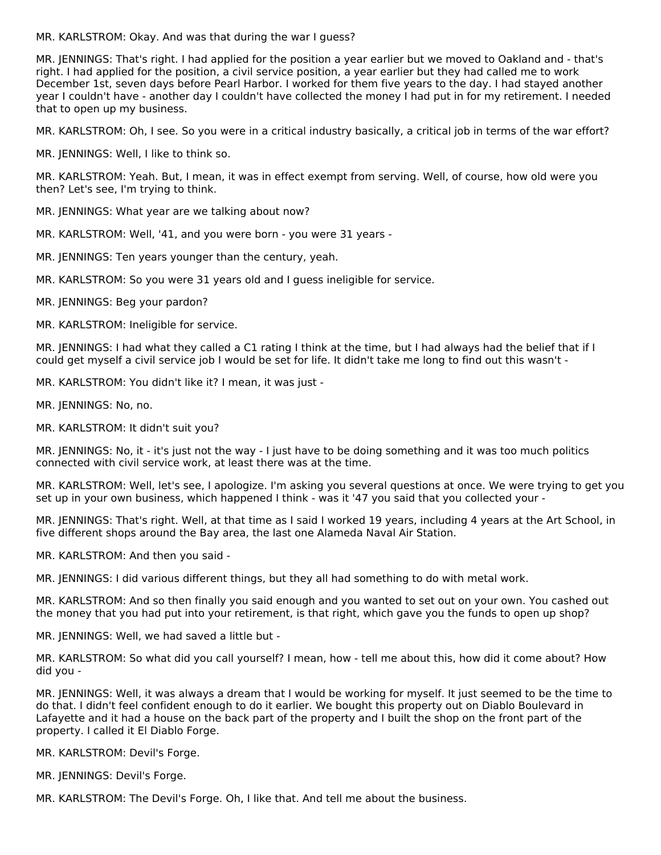MR. KARLSTROM: Okay. And was that during the war I guess?

MR. JENNINGS: That's right. I had applied for the position a year earlier but we moved to Oakland and - that's right. I had applied for the position, a civil service position, a year earlier but they had called me to work December 1st, seven days before Pearl Harbor. I worked for them five years to the day. I had stayed another year I couldn't have - another day I couldn't have collected the money I had put in for my retirement. I needed that to open up my business.

MR. KARLSTROM: Oh, I see. So you were in a critical industry basically, a critical job in terms of the war effort?

MR. JENNINGS: Well, I like to think so.

MR. KARLSTROM: Yeah. But, I mean, it was in effect exempt from serving. Well, of course, how old were you then? Let's see, I'm trying to think.

MR. JENNINGS: What year are we talking about now?

MR. KARLSTROM: Well, '41, and you were born - you were 31 years -

MR. JENNINGS: Ten years younger than the century, yeah.

MR. KARLSTROM: So you were 31 years old and I guess ineligible for service.

MR. JENNINGS: Beg your pardon?

MR. KARLSTROM: Ineligible for service.

MR. JENNINGS: I had what they called a C1 rating I think at the time, but I had always had the belief that if I could get myself a civil service job I would be set for life. It didn't take me long to find out this wasn't -

MR. KARLSTROM: You didn't like it? I mean, it was just -

MR. JENNINGS: No, no.

MR. KARLSTROM: It didn't suit you?

MR. JENNINGS: No, it - it's just not the way - I just have to be doing something and it was too much politics connected with civil service work, at least there was at the time.

MR. KARLSTROM: Well, let's see, I apologize. I'm asking you several questions at once. We were trying to get you set up in your own business, which happened I think - was it '47 you said that you collected your -

MR. JENNINGS: That's right. Well, at that time as I said I worked 19 years, including 4 years at the Art School, in five different shops around the Bay area, the last one Alameda Naval Air Station.

MR. KARLSTROM: And then you said -

MR. JENNINGS: I did various different things, but they all had something to do with metal work.

MR. KARLSTROM: And so then finally you said enough and you wanted to set out on your own. You cashed out the money that you had put into your retirement, is that right, which gave you the funds to open up shop?

MR. JENNINGS: Well, we had saved a little but -

MR. KARLSTROM: So what did you call yourself? I mean, how - tell me about this, how did it come about? How did you -

MR. JENNINGS: Well, it was always a dream that I would be working for myself. It just seemed to be the time to do that. I didn't feel confident enough to do it earlier. We bought this property out on Diablo Boulevard in Lafayette and it had a house on the back part of the property and I built the shop on the front part of the property. I called it El Diablo Forge.

MR. KARLSTROM: Devil's Forge.

MR. JENNINGS: Devil's Forge.

MR. KARLSTROM: The Devil's Forge. Oh, I like that. And tell me about the business.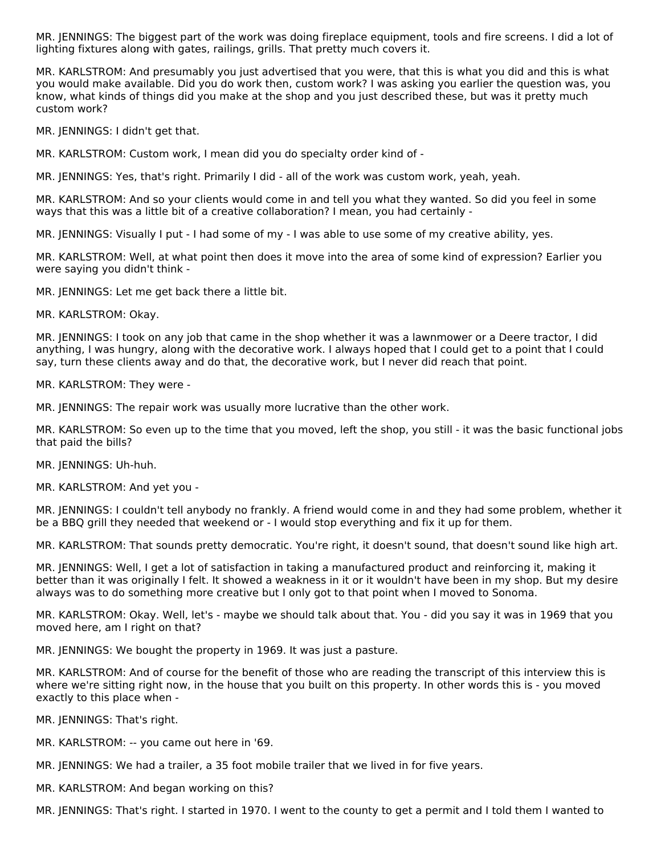MR. JENNINGS: The biggest part of the work was doing fireplace equipment, tools and fire screens. I did a lot of lighting fixtures along with gates, railings, grills. That pretty much covers it.

MR. KARLSTROM: And presumably you just advertised that you were, that this is what you did and this is what you would make available. Did you do work then, custom work? I was asking you earlier the question was, you know, what kinds of things did you make at the shop and you just described these, but was it pretty much custom work?

MR. JENNINGS: I didn't get that.

MR. KARLSTROM: Custom work, I mean did you do specialty order kind of -

MR. JENNINGS: Yes, that's right. Primarily I did - all of the work was custom work, yeah, yeah.

MR. KARLSTROM: And so your clients would come in and tell you what they wanted. So did you feel in some ways that this was a little bit of a creative collaboration? I mean, you had certainly -

MR. JENNINGS: Visually I put - I had some of my - I was able to use some of my creative ability, yes.

MR. KARLSTROM: Well, at what point then does it move into the area of some kind of expression? Earlier you were saying you didn't think -

MR. JENNINGS: Let me get back there a little bit.

MR. KARLSTROM: Okay.

MR. JENNINGS: I took on any job that came in the shop whether it was a lawnmower or a Deere tractor, I did anything, I was hungry, along with the decorative work. I always hoped that I could get to a point that I could say, turn these clients away and do that, the decorative work, but I never did reach that point.

MR. KARLSTROM: They were -

MR. JENNINGS: The repair work was usually more lucrative than the other work.

MR. KARLSTROM: So even up to the time that you moved, left the shop, you still - it was the basic functional jobs that paid the bills?

MR. JENNINGS: Uh-huh.

MR. KARLSTROM: And yet you -

MR. JENNINGS: I couldn't tell anybody no frankly. A friend would come in and they had some problem, whether it be a BBQ grill they needed that weekend or - I would stop everything and fix it up for them.

MR. KARLSTROM: That sounds pretty democratic. You're right, it doesn't sound, that doesn't sound like high art.

MR. JENNINGS: Well, I get a lot of satisfaction in taking a manufactured product and reinforcing it, making it better than it was originally I felt. It showed a weakness in it or it wouldn't have been in my shop. But my desire always was to do something more creative but I only got to that point when I moved to Sonoma.

MR. KARLSTROM: Okay. Well, let's - maybe we should talk about that. You - did you say it was in 1969 that you moved here, am I right on that?

MR. JENNINGS: We bought the property in 1969. It was just a pasture.

MR. KARLSTROM: And of course for the benefit of those who are reading the transcript of this interview this is where we're sitting right now, in the house that you built on this property. In other words this is - you moved exactly to this place when -

MR. JENNINGS: That's right.

MR. KARLSTROM: -- you came out here in '69.

MR. JENNINGS: We had a trailer, a 35 foot mobile trailer that we lived in for five years.

MR. KARLSTROM: And began working on this?

MR. JENNINGS: That's right. I started in 1970. I went to the county to get a permit and I told them I wanted to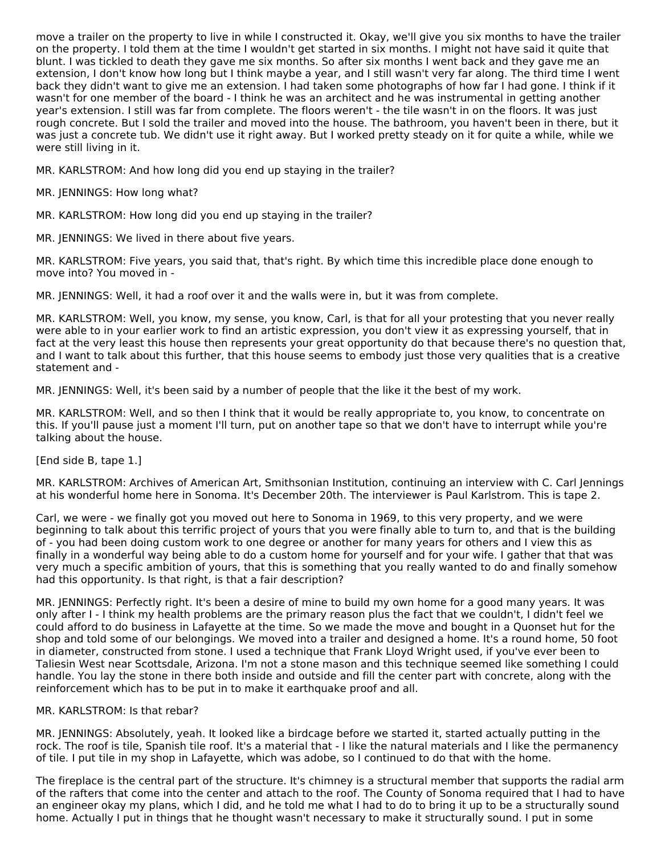move a trailer on the property to live in while I constructed it. Okay, we'll give you six months to have the trailer on the property. I told them at the time I wouldn't get started in six months. I might not have said it quite that blunt. I was tickled to death they gave me six months. So after six months I went back and they gave me an extension, I don't know how long but I think maybe a year, and I still wasn't very far along. The third time I went back they didn't want to give me an extension. I had taken some photographs of how far I had gone. I think if it wasn't for one member of the board - I think he was an architect and he was instrumental in getting another year's extension. I still was far from complete. The floors weren't - the tile wasn't in on the floors. It was just rough concrete. But I sold the trailer and moved into the house. The bathroom, you haven't been in there, but it was just a concrete tub. We didn't use it right away. But I worked pretty steady on it for quite a while, while we were still living in it.

MR. KARLSTROM: And how long did you end up staying in the trailer?

MR. JENNINGS: How long what?

MR. KARLSTROM: How long did you end up staying in the trailer?

MR. JENNINGS: We lived in there about five years.

MR. KARLSTROM: Five years, you said that, that's right. By which time this incredible place done enough to move into? You moved in -

MR. JENNINGS: Well, it had a roof over it and the walls were in, but it was from complete.

MR. KARLSTROM: Well, you know, my sense, you know, Carl, is that for all your protesting that you never really were able to in your earlier work to find an artistic expression, you don't view it as expressing yourself, that in fact at the very least this house then represents your great opportunity do that because there's no question that, and I want to talk about this further, that this house seems to embody just those very qualities that is a creative statement and -

MR. JENNINGS: Well, it's been said by a number of people that the like it the best of my work.

MR. KARLSTROM: Well, and so then I think that it would be really appropriate to, you know, to concentrate on this. If you'll pause just a moment I'll turn, put on another tape so that we don't have to interrupt while you're talking about the house.

[End side B, tape 1.]

MR. KARLSTROM: Archives of American Art, Smithsonian Institution, continuing an interview with C. Carl Jennings at his wonderful home here in Sonoma. It's December 20th. The interviewer is Paul Karlstrom. This is tape 2.

Carl, we were - we finally got you moved out here to Sonoma in 1969, to this very property, and we were beginning to talk about this terrific project of yours that you were finally able to turn to, and that is the building of - you had been doing custom work to one degree or another for many years for others and I view this as finally in a wonderful way being able to do a custom home for yourself and for your wife. I gather that that was very much a specific ambition of yours, that this is something that you really wanted to do and finally somehow had this opportunity. Is that right, is that a fair description?

MR. JENNINGS: Perfectly right. It's been a desire of mine to build my own home for a good many years. It was only after I - I think my health problems are the primary reason plus the fact that we couldn't, I didn't feel we could afford to do business in Lafayette at the time. So we made the move and bought in a Quonset hut for the shop and told some of our belongings. We moved into a trailer and designed a home. It's a round home, 50 foot in diameter, constructed from stone. I used a technique that Frank Lloyd Wright used, if you've ever been to Taliesin West near Scottsdale, Arizona. I'm not a stone mason and this technique seemed like something I could handle. You lay the stone in there both inside and outside and fill the center part with concrete, along with the reinforcement which has to be put in to make it earthquake proof and all.

#### MR. KARLSTROM: Is that rebar?

MR. JENNINGS: Absolutely, yeah. It looked like a birdcage before we started it, started actually putting in the rock. The roof is tile, Spanish tile roof. It's a material that - I like the natural materials and I like the permanency of tile. I put tile in my shop in Lafayette, which was adobe, so I continued to do that with the home.

The fireplace is the central part of the structure. It's chimney is a structural member that supports the radial arm of the rafters that come into the center and attach to the roof. The County of Sonoma required that I had to have an engineer okay my plans, which I did, and he told me what I had to do to bring it up to be a structurally sound home. Actually I put in things that he thought wasn't necessary to make it structurally sound. I put in some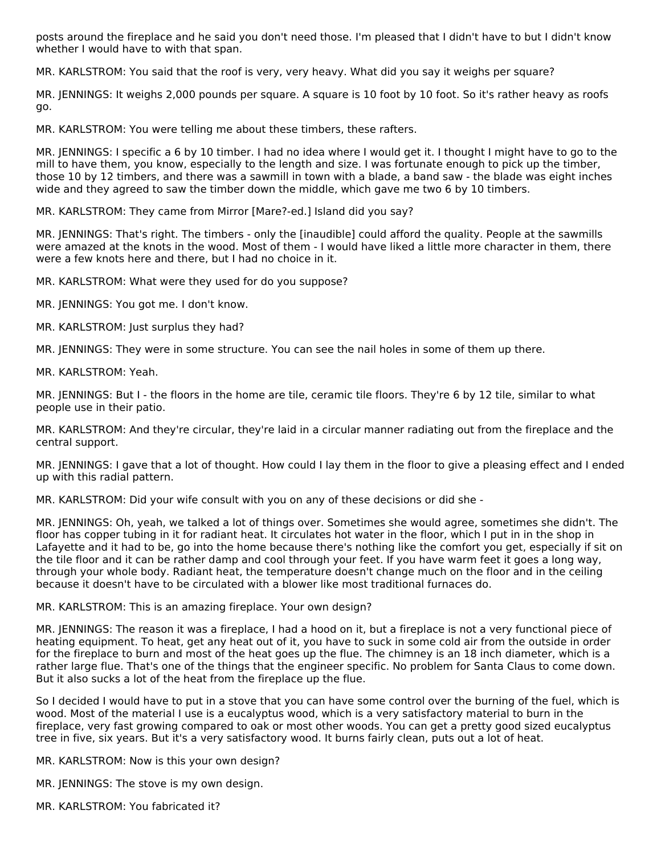posts around the fireplace and he said you don't need those. I'm pleased that I didn't have to but I didn't know whether I would have to with that span.

MR. KARLSTROM: You said that the roof is very, very heavy. What did you say it weighs per square?

MR. JENNINGS: It weighs 2,000 pounds per square. A square is 10 foot by 10 foot. So it's rather heavy as roofs go.

MR. KARLSTROM: You were telling me about these timbers, these rafters.

MR. JENNINGS: I specific a 6 by 10 timber. I had no idea where I would get it. I thought I might have to go to the mill to have them, you know, especially to the length and size. I was fortunate enough to pick up the timber, those 10 by 12 timbers, and there was a sawmill in town with a blade, a band saw - the blade was eight inches wide and they agreed to saw the timber down the middle, which gave me two 6 by 10 timbers.

MR. KARLSTROM: They came from Mirror [Mare?-ed.] Island did you say?

MR. JENNINGS: That's right. The timbers - only the [inaudible] could afford the quality. People at the sawmills were amazed at the knots in the wood. Most of them - I would have liked a little more character in them, there were a few knots here and there, but I had no choice in it.

MR. KARLSTROM: What were they used for do you suppose?

MR. JENNINGS: You got me. I don't know.

MR. KARLSTROM: Just surplus they had?

MR. JENNINGS: They were in some structure. You can see the nail holes in some of them up there.

MR. KARLSTROM: Yeah.

MR. JENNINGS: But I - the floors in the home are tile, ceramic tile floors. They're 6 by 12 tile, similar to what people use in their patio.

MR. KARLSTROM: And they're circular, they're laid in a circular manner radiating out from the fireplace and the central support.

MR. JENNINGS: I gave that a lot of thought. How could I lay them in the floor to give a pleasing effect and I ended up with this radial pattern.

MR. KARLSTROM: Did your wife consult with you on any of these decisions or did she -

MR. JENNINGS: Oh, yeah, we talked a lot of things over. Sometimes she would agree, sometimes she didn't. The floor has copper tubing in it for radiant heat. It circulates hot water in the floor, which I put in in the shop in Lafayette and it had to be, go into the home because there's nothing like the comfort you get, especially if sit on the tile floor and it can be rather damp and cool through your feet. If you have warm feet it goes a long way, through your whole body. Radiant heat, the temperature doesn't change much on the floor and in the ceiling because it doesn't have to be circulated with a blower like most traditional furnaces do.

#### MR. KARLSTROM: This is an amazing fireplace. Your own design?

MR. JENNINGS: The reason it was a fireplace, I had a hood on it, but a fireplace is not a very functional piece of heating equipment. To heat, get any heat out of it, you have to suck in some cold air from the outside in order for the fireplace to burn and most of the heat goes up the flue. The chimney is an 18 inch diameter, which is a rather large flue. That's one of the things that the engineer specific. No problem for Santa Claus to come down. But it also sucks a lot of the heat from the fireplace up the flue.

So I decided I would have to put in a stove that you can have some control over the burning of the fuel, which is wood. Most of the material I use is a eucalyptus wood, which is a very satisfactory material to burn in the fireplace, very fast growing compared to oak or most other woods. You can get a pretty good sized eucalyptus tree in five, six years. But it's a very satisfactory wood. It burns fairly clean, puts out a lot of heat.

MR. KARLSTROM: Now is this your own design?

MR. JENNINGS: The stove is my own design.

MR. KARLSTROM: You fabricated it?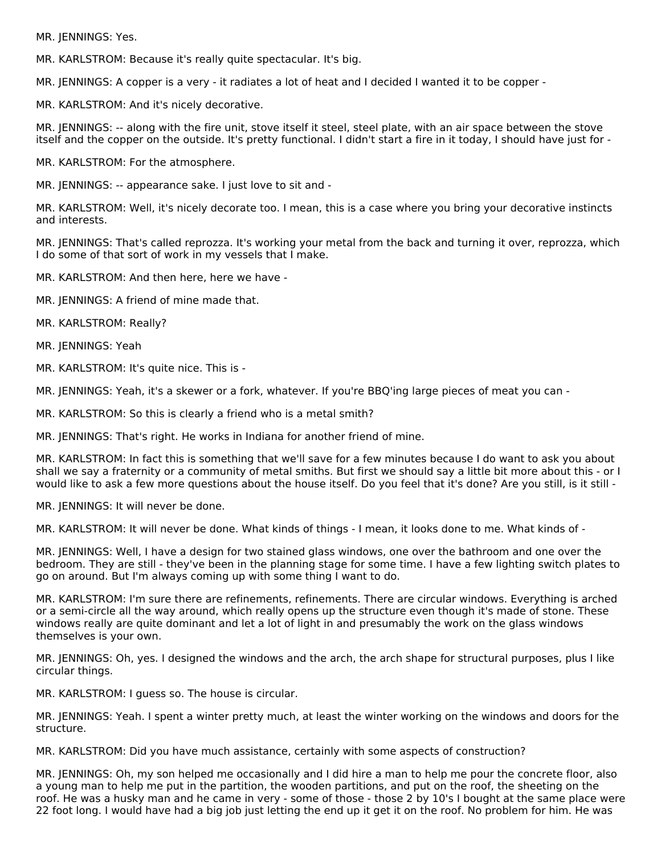MR. JENNINGS: Yes.

MR. KARLSTROM: Because it's really quite spectacular. It's big.

MR. JENNINGS: A copper is a very - it radiates a lot of heat and I decided I wanted it to be copper -

MR. KARLSTROM: And it's nicely decorative.

MR. JENNINGS: -- along with the fire unit, stove itself it steel, steel plate, with an air space between the stove itself and the copper on the outside. It's pretty functional. I didn't start a fire in it today, I should have just for -

MR. KARLSTROM: For the atmosphere.

MR. JENNINGS: -- appearance sake. I just love to sit and -

MR. KARLSTROM: Well, it's nicely decorate too. I mean, this is a case where you bring your decorative instincts and interests.

MR. JENNINGS: That's called reprozza. It's working your metal from the back and turning it over, reprozza, which I do some of that sort of work in my vessels that I make.

MR. KARLSTROM: And then here, here we have -

MR. JENNINGS: A friend of mine made that.

MR. KARLSTROM: Really?

MR. JENNINGS: Yeah

MR. KARLSTROM: It's quite nice. This is -

MR. JENNINGS: Yeah, it's a skewer or a fork, whatever. If you're BBQ'ing large pieces of meat you can -

MR. KARLSTROM: So this is clearly a friend who is a metal smith?

MR. JENNINGS: That's right. He works in Indiana for another friend of mine.

MR. KARLSTROM: In fact this is something that we'll save for a few minutes because I do want to ask you about shall we say a fraternity or a community of metal smiths. But first we should say a little bit more about this - or I would like to ask a few more questions about the house itself. Do you feel that it's done? Are you still, is it still -

MR. JENNINGS: It will never be done.

MR. KARLSTROM: It will never be done. What kinds of things - I mean, it looks done to me. What kinds of -

MR. JENNINGS: Well, I have a design for two stained glass windows, one over the bathroom and one over the bedroom. They are still - they've been in the planning stage for some time. I have a few lighting switch plates to go on around. But I'm always coming up with some thing I want to do.

MR. KARLSTROM: I'm sure there are refinements, refinements. There are circular windows. Everything is arched or a semi-circle all the way around, which really opens up the structure even though it's made of stone. These windows really are quite dominant and let a lot of light in and presumably the work on the glass windows themselves is your own.

MR. JENNINGS: Oh, yes. I designed the windows and the arch, the arch shape for structural purposes, plus I like circular things.

MR. KARLSTROM: I guess so. The house is circular.

MR. JENNINGS: Yeah. I spent a winter pretty much, at least the winter working on the windows and doors for the structure.

MR. KARLSTROM: Did you have much assistance, certainly with some aspects of construction?

MR. JENNINGS: Oh, my son helped me occasionally and I did hire a man to help me pour the concrete floor, also a young man to help me put in the partition, the wooden partitions, and put on the roof, the sheeting on the roof. He was a husky man and he came in very - some of those - those 2 by 10's I bought at the same place were 22 foot long. I would have had a big job just letting the end up it get it on the roof. No problem for him. He was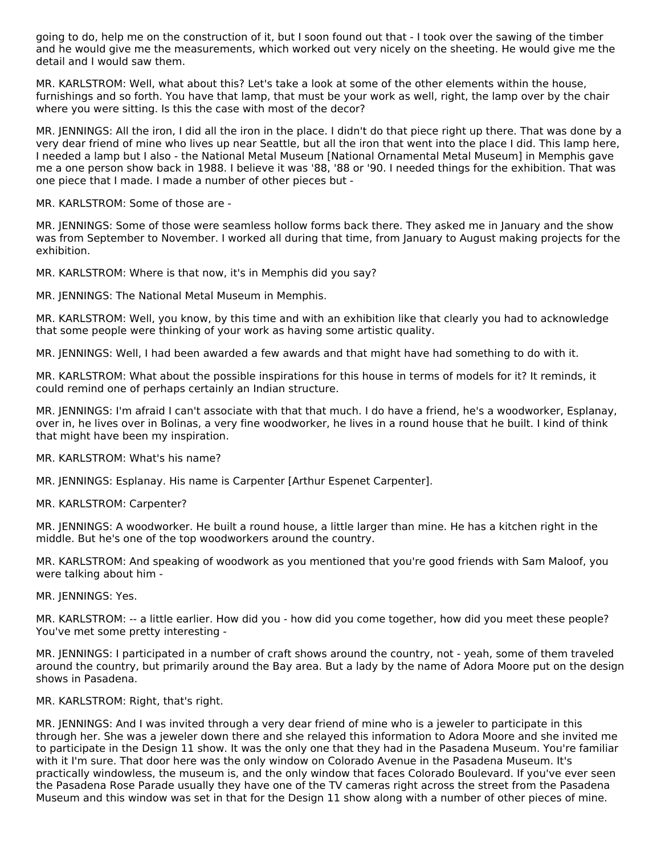going to do, help me on the construction of it, but I soon found out that - I took over the sawing of the timber and he would give me the measurements, which worked out very nicely on the sheeting. He would give me the detail and I would saw them.

MR. KARLSTROM: Well, what about this? Let's take a look at some of the other elements within the house, furnishings and so forth. You have that lamp, that must be your work as well, right, the lamp over by the chair where you were sitting. Is this the case with most of the decor?

MR. JENNINGS: All the iron, I did all the iron in the place. I didn't do that piece right up there. That was done by a very dear friend of mine who lives up near Seattle, but all the iron that went into the place I did. This lamp here, I needed a lamp but I also - the National Metal Museum [National Ornamental Metal Museum] in Memphis gave me a one person show back in 1988. I believe it was '88, '88 or '90. I needed things for the exhibition. That was one piece that I made. I made a number of other pieces but -

MR. KARLSTROM: Some of those are -

MR. JENNINGS: Some of those were seamless hollow forms back there. They asked me in January and the show was from September to November. I worked all during that time, from January to August making projects for the exhibition.

MR. KARLSTROM: Where is that now, it's in Memphis did you say?

MR. JENNINGS: The National Metal Museum in Memphis.

MR. KARLSTROM: Well, you know, by this time and with an exhibition like that clearly you had to acknowledge that some people were thinking of your work as having some artistic quality.

MR. JENNINGS: Well, I had been awarded a few awards and that might have had something to do with it.

MR. KARLSTROM: What about the possible inspirations for this house in terms of models for it? It reminds, it could remind one of perhaps certainly an Indian structure.

MR. JENNINGS: I'm afraid I can't associate with that that much. I do have a friend, he's a woodworker, Esplanay, over in, he lives over in Bolinas, a very fine woodworker, he lives in a round house that he built. I kind of think that might have been my inspiration.

MR. KARLSTROM: What's his name?

MR. JENNINGS: Esplanay. His name is Carpenter [Arthur Espenet Carpenter].

MR. KARLSTROM: Carpenter?

MR. JENNINGS: A woodworker. He built a round house, a little larger than mine. He has a kitchen right in the middle. But he's one of the top woodworkers around the country.

MR. KARLSTROM: And speaking of woodwork as you mentioned that you're good friends with Sam Maloof, you were talking about him -

MR. JENNINGS: Yes.

MR. KARLSTROM: -- a little earlier. How did you - how did you come together, how did you meet these people? You've met some pretty interesting -

MR. JENNINGS: I participated in a number of craft shows around the country, not - yeah, some of them traveled around the country, but primarily around the Bay area. But a lady by the name of Adora Moore put on the design shows in Pasadena.

MR. KARLSTROM: Right, that's right.

MR. JENNINGS: And I was invited through a very dear friend of mine who is a jeweler to participate in this through her. She was a jeweler down there and she relayed this information to Adora Moore and she invited me to participate in the Design 11 show. It was the only one that they had in the Pasadena Museum. You're familiar with it I'm sure. That door here was the only window on Colorado Avenue in the Pasadena Museum. It's practically windowless, the museum is, and the only window that faces Colorado Boulevard. If you've ever seen the Pasadena Rose Parade usually they have one of the TV cameras right across the street from the Pasadena Museum and this window was set in that for the Design 11 show along with a number of other pieces of mine.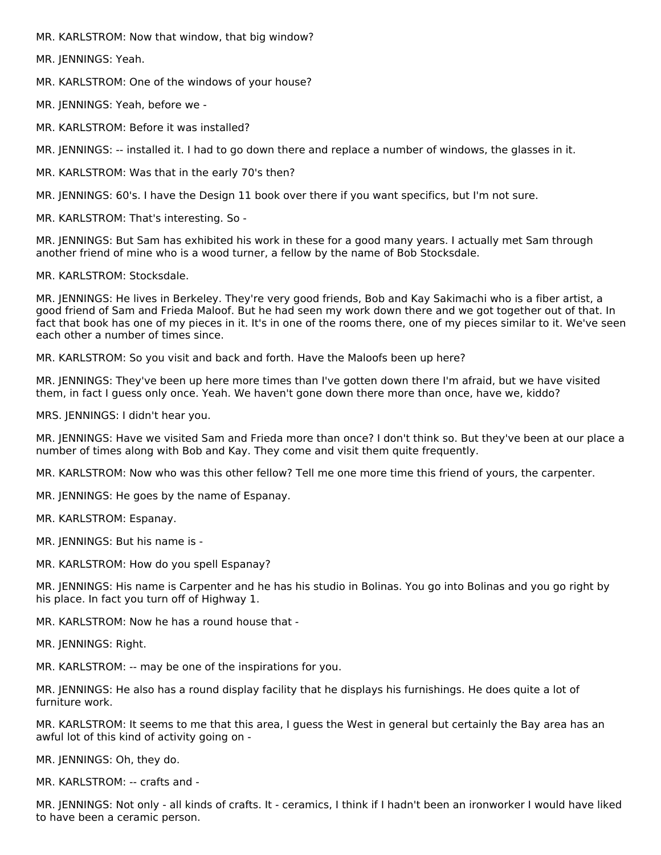MR. KARLSTROM: Now that window, that big window?

MR. JENNINGS: Yeah.

MR. KARLSTROM: One of the windows of your house?

MR. JENNINGS: Yeah, before we -

MR. KARLSTROM: Before it was installed?

MR. JENNINGS: -- installed it. I had to go down there and replace a number of windows, the glasses in it.

MR. KARLSTROM: Was that in the early 70's then?

MR. JENNINGS: 60's. I have the Design 11 book over there if you want specifics, but I'm not sure.

MR. KARLSTROM: That's interesting. So -

MR. JENNINGS: But Sam has exhibited his work in these for a good many years. I actually met Sam through another friend of mine who is a wood turner, a fellow by the name of Bob Stocksdale.

MR. KARLSTROM: Stocksdale.

MR. JENNINGS: He lives in Berkeley. They're very good friends, Bob and Kay Sakimachi who is a fiber artist, a good friend of Sam and Frieda Maloof. But he had seen my work down there and we got together out of that. In fact that book has one of my pieces in it. It's in one of the rooms there, one of my pieces similar to it. We've seen each other a number of times since.

MR. KARLSTROM: So you visit and back and forth. Have the Maloofs been up here?

MR. JENNINGS: They've been up here more times than I've gotten down there I'm afraid, but we have visited them, in fact I guess only once. Yeah. We haven't gone down there more than once, have we, kiddo?

MRS. JENNINGS: I didn't hear you.

MR. JENNINGS: Have we visited Sam and Frieda more than once? I don't think so. But they've been at our place a number of times along with Bob and Kay. They come and visit them quite frequently.

MR. KARLSTROM: Now who was this other fellow? Tell me one more time this friend of yours, the carpenter.

MR. JENNINGS: He goes by the name of Espanay.

MR. KARLSTROM: Espanay.

MR. JENNINGS: But his name is -

MR. KARLSTROM: How do you spell Espanay?

MR. JENNINGS: His name is Carpenter and he has his studio in Bolinas. You go into Bolinas and you go right by his place. In fact you turn off of Highway 1.

MR. KARLSTROM: Now he has a round house that -

MR. JENNINGS: Right.

MR. KARLSTROM: -- may be one of the inspirations for you.

MR. JENNINGS: He also has a round display facility that he displays his furnishings. He does quite a lot of furniture work.

MR. KARLSTROM: It seems to me that this area, I guess the West in general but certainly the Bay area has an awful lot of this kind of activity going on -

MR. JENNINGS: Oh, they do.

MR. KARLSTROM: -- crafts and -

MR. JENNINGS: Not only - all kinds of crafts. It - ceramics, I think if I hadn't been an ironworker I would have liked to have been a ceramic person.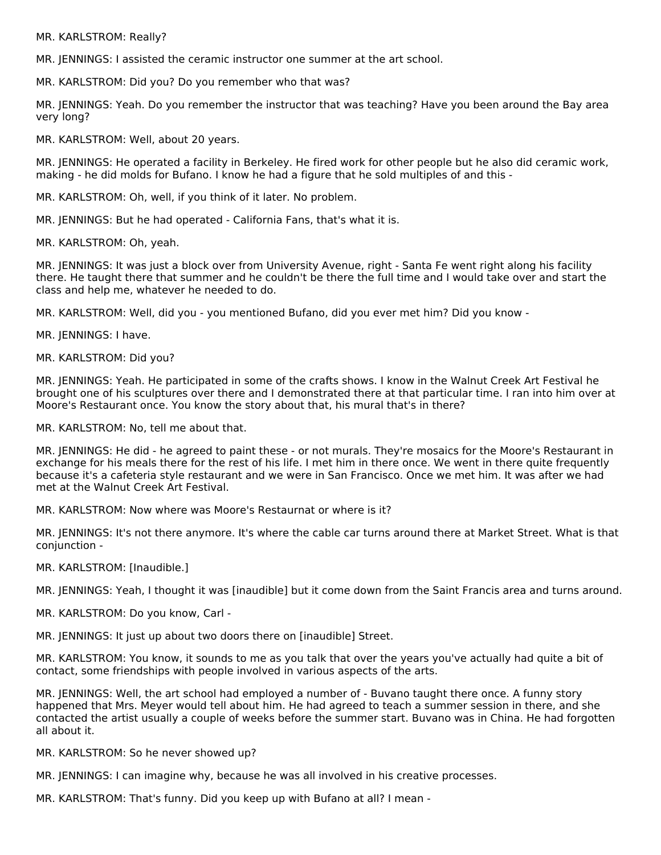MR. KARLSTROM: Really?

MR. JENNINGS: I assisted the ceramic instructor one summer at the art school.

MR. KARLSTROM: Did you? Do you remember who that was?

MR. JENNINGS: Yeah. Do you remember the instructor that was teaching? Have you been around the Bay area very long?

MR. KARLSTROM: Well, about 20 years.

MR. JENNINGS: He operated a facility in Berkeley. He fired work for other people but he also did ceramic work, making - he did molds for Bufano. I know he had a figure that he sold multiples of and this -

MR. KARLSTROM: Oh, well, if you think of it later. No problem.

MR. JENNINGS: But he had operated - California Fans, that's what it is.

MR. KARLSTROM: Oh, yeah.

MR. JENNINGS: It was just a block over from University Avenue, right - Santa Fe went right along his facility there. He taught there that summer and he couldn't be there the full time and I would take over and start the class and help me, whatever he needed to do.

MR. KARLSTROM: Well, did you - you mentioned Bufano, did you ever met him? Did you know -

MR. JENNINGS: I have.

MR. KARLSTROM: Did you?

MR. JENNINGS: Yeah. He participated in some of the crafts shows. I know in the Walnut Creek Art Festival he brought one of his sculptures over there and I demonstrated there at that particular time. I ran into him over at Moore's Restaurant once. You know the story about that, his mural that's in there?

MR. KARLSTROM: No, tell me about that.

MR. JENNINGS: He did - he agreed to paint these - or not murals. They're mosaics for the Moore's Restaurant in exchange for his meals there for the rest of his life. I met him in there once. We went in there quite frequently because it's a cafeteria style restaurant and we were in San Francisco. Once we met him. It was after we had met at the Walnut Creek Art Festival.

MR. KARLSTROM: Now where was Moore's Restaurnat or where is it?

MR. JENNINGS: It's not there anymore. It's where the cable car turns around there at Market Street. What is that conjunction -

MR. KARLSTROM: [Inaudible.]

MR. JENNINGS: Yeah, I thought it was [inaudible] but it come down from the Saint Francis area and turns around.

MR. KARLSTROM: Do you know, Carl -

MR. JENNINGS: It just up about two doors there on [inaudible] Street.

MR. KARLSTROM: You know, it sounds to me as you talk that over the years you've actually had quite a bit of contact, some friendships with people involved in various aspects of the arts.

MR. JENNINGS: Well, the art school had employed a number of - Buvano taught there once. A funny story happened that Mrs. Meyer would tell about him. He had agreed to teach a summer session in there, and she contacted the artist usually a couple of weeks before the summer start. Buvano was in China. He had forgotten all about it.

MR. KARLSTROM: So he never showed up?

MR. JENNINGS: I can imagine why, because he was all involved in his creative processes.

MR. KARLSTROM: That's funny. Did you keep up with Bufano at all? I mean -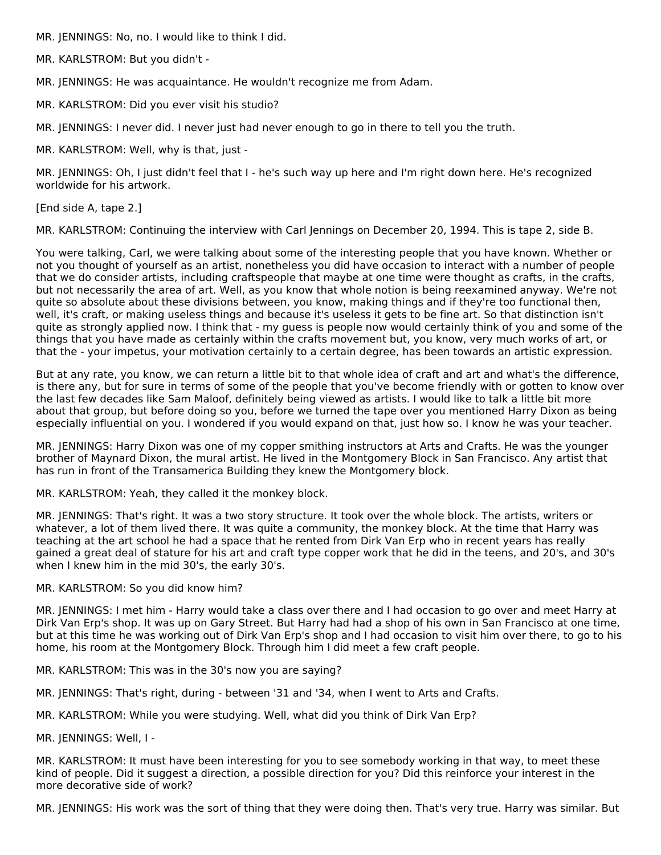MR. JENNINGS: No, no. I would like to think I did.

MR. KARLSTROM: But you didn't -

MR. JENNINGS: He was acquaintance. He wouldn't recognize me from Adam.

MR. KARLSTROM: Did you ever visit his studio?

MR. JENNINGS: I never did. I never just had never enough to go in there to tell you the truth.

MR. KARLSTROM: Well, why is that, just -

MR. JENNINGS: Oh, I just didn't feel that I - he's such way up here and I'm right down here. He's recognized worldwide for his artwork.

[End side A, tape 2.]

MR. KARLSTROM: Continuing the interview with Carl Jennings on December 20, 1994. This is tape 2, side B.

You were talking, Carl, we were talking about some of the interesting people that you have known. Whether or not you thought of yourself as an artist, nonetheless you did have occasion to interact with a number of people that we do consider artists, including craftspeople that maybe at one time were thought as crafts, in the crafts, but not necessarily the area of art. Well, as you know that whole notion is being reexamined anyway. We're not quite so absolute about these divisions between, you know, making things and if they're too functional then, well, it's craft, or making useless things and because it's useless it gets to be fine art. So that distinction isn't quite as strongly applied now. I think that - my guess is people now would certainly think of you and some of the things that you have made as certainly within the crafts movement but, you know, very much works of art, or that the - your impetus, your motivation certainly to a certain degree, has been towards an artistic expression.

But at any rate, you know, we can return a little bit to that whole idea of craft and art and what's the difference, is there any, but for sure in terms of some of the people that you've become friendly with or gotten to know over the last few decades like Sam Maloof, definitely being viewed as artists. I would like to talk a little bit more about that group, but before doing so you, before we turned the tape over you mentioned Harry Dixon as being especially influential on you. I wondered if you would expand on that, just how so. I know he was your teacher.

MR. JENNINGS: Harry Dixon was one of my copper smithing instructors at Arts and Crafts. He was the younger brother of Maynard Dixon, the mural artist. He lived in the Montgomery Block in San Francisco. Any artist that has run in front of the Transamerica Building they knew the Montgomery block.

MR. KARLSTROM: Yeah, they called it the monkey block.

MR. JENNINGS: That's right. It was a two story structure. It took over the whole block. The artists, writers or whatever, a lot of them lived there. It was quite a community, the monkey block. At the time that Harry was teaching at the art school he had a space that he rented from Dirk Van Erp who in recent years has really gained a great deal of stature for his art and craft type copper work that he did in the teens, and 20's, and 30's when I knew him in the mid 30's, the early 30's.

#### MR. KARLSTROM: So you did know him?

MR. JENNINGS: I met him - Harry would take a class over there and I had occasion to go over and meet Harry at Dirk Van Erp's shop. It was up on Gary Street. But Harry had had a shop of his own in San Francisco at one time, but at this time he was working out of Dirk Van Erp's shop and I had occasion to visit him over there, to go to his home, his room at the Montgomery Block. Through him I did meet a few craft people.

MR. KARLSTROM: This was in the 30's now you are saying?

MR. JENNINGS: That's right, during - between '31 and '34, when I went to Arts and Crafts.

MR. KARLSTROM: While you were studying. Well, what did you think of Dirk Van Erp?

MR. JENNINGS: Well, I -

MR. KARLSTROM: It must have been interesting for you to see somebody working in that way, to meet these kind of people. Did it suggest a direction, a possible direction for you? Did this reinforce your interest in the more decorative side of work?

MR. JENNINGS: His work was the sort of thing that they were doing then. That's very true. Harry was similar. But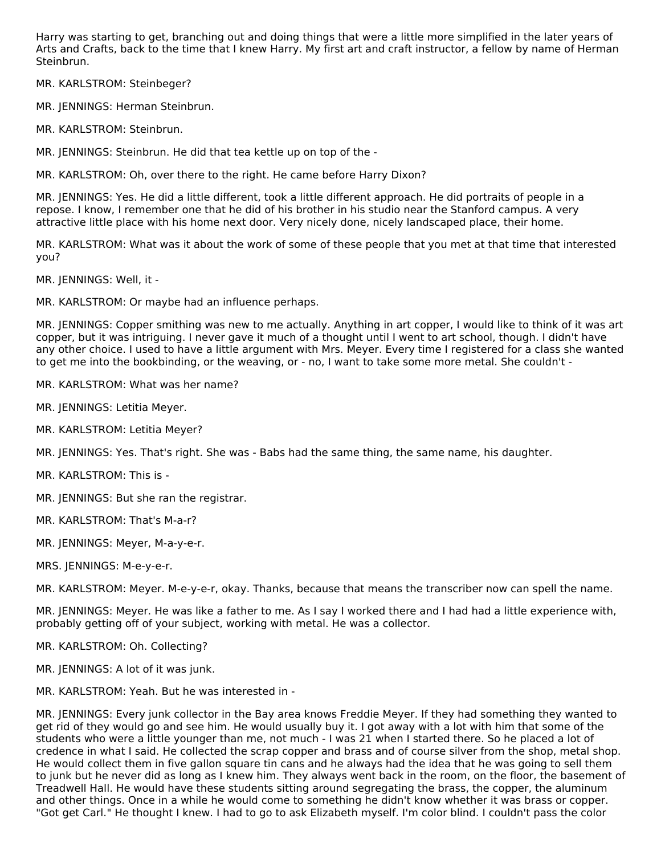Harry was starting to get, branching out and doing things that were a little more simplified in the later years of Arts and Crafts, back to the time that I knew Harry. My first art and craft instructor, a fellow by name of Herman Steinbrun.

MR. KARLSTROM: Steinbeger?

MR. JENNINGS: Herman Steinbrun.

MR. KARLSTROM: Steinbrun.

MR. JENNINGS: Steinbrun. He did that tea kettle up on top of the -

MR. KARLSTROM: Oh, over there to the right. He came before Harry Dixon?

MR. JENNINGS: Yes. He did a little different, took a little different approach. He did portraits of people in a repose. I know, I remember one that he did of his brother in his studio near the Stanford campus. A very attractive little place with his home next door. Very nicely done, nicely landscaped place, their home.

MR. KARLSTROM: What was it about the work of some of these people that you met at that time that interested you?

MR. JENNINGS: Well, it -

MR. KARLSTROM: Or maybe had an influence perhaps.

MR. JENNINGS: Copper smithing was new to me actually. Anything in art copper, I would like to think of it was art copper, but it was intriguing. I never gave it much of a thought until I went to art school, though. I didn't have any other choice. I used to have a little argument with Mrs. Meyer. Every time I registered for a class she wanted to get me into the bookbinding, or the weaving, or - no, I want to take some more metal. She couldn't -

MR. KARLSTROM: What was her name?

MR. JENNINGS: Letitia Meyer.

MR. KARLSTROM: Letitia Meyer?

MR. JENNINGS: Yes. That's right. She was - Babs had the same thing, the same name, his daughter.

MR. KARLSTROM: This is -

MR. JENNINGS: But she ran the registrar.

MR. KARLSTROM: That's M-a-r?

MR. JENNINGS: Meyer, M-a-y-e-r.

MRS. JENNINGS: M-e-y-e-r.

MR. KARLSTROM: Meyer. M-e-y-e-r, okay. Thanks, because that means the transcriber now can spell the name.

MR. JENNINGS: Meyer. He was like a father to me. As I say I worked there and I had had a little experience with, probably getting off of your subject, working with metal. He was a collector.

MR. KARLSTROM: Oh. Collecting?

MR. JENNINGS: A lot of it was junk.

MR. KARLSTROM: Yeah. But he was interested in -

MR. JENNINGS: Every junk collector in the Bay area knows Freddie Meyer. If they had something they wanted to get rid of they would go and see him. He would usually buy it. I got away with a lot with him that some of the students who were a little younger than me, not much - I was 21 when I started there. So he placed a lot of credence in what I said. He collected the scrap copper and brass and of course silver from the shop, metal shop. He would collect them in five gallon square tin cans and he always had the idea that he was going to sell them to junk but he never did as long as I knew him. They always went back in the room, on the floor, the basement of Treadwell Hall. He would have these students sitting around segregating the brass, the copper, the aluminum and other things. Once in a while he would come to something he didn't know whether it was brass or copper. "Got get Carl." He thought I knew. I had to go to ask Elizabeth myself. I'm color blind. I couldn't pass the color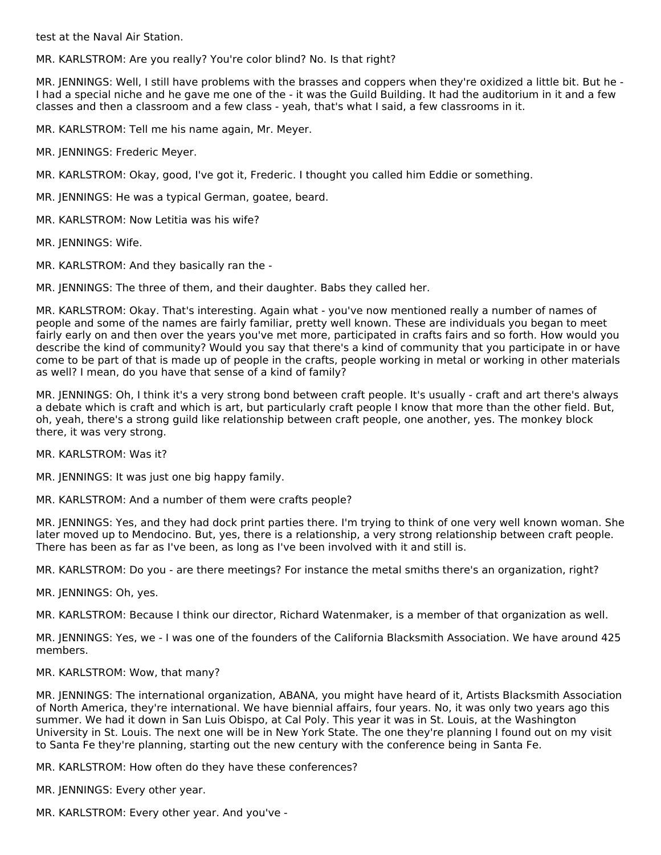test at the Naval Air Station.

MR. KARLSTROM: Are you really? You're color blind? No. Is that right?

MR. JENNINGS: Well, I still have problems with the brasses and coppers when they're oxidized a little bit. But he - I had a special niche and he gave me one of the - it was the Guild Building. It had the auditorium in it and a few classes and then a classroom and a few class - yeah, that's what I said, a few classrooms in it.

MR. KARLSTROM: Tell me his name again, Mr. Meyer.

MR. JENNINGS: Frederic Meyer.

MR. KARLSTROM: Okay, good, I've got it, Frederic. I thought you called him Eddie or something.

MR. JENNINGS: He was a typical German, goatee, beard.

MR. KARLSTROM: Now Letitia was his wife?

MR. JENNINGS: Wife.

MR. KARLSTROM: And they basically ran the -

MR. JENNINGS: The three of them, and their daughter. Babs they called her.

MR. KARLSTROM: Okay. That's interesting. Again what - you've now mentioned really a number of names of people and some of the names are fairly familiar, pretty well known. These are individuals you began to meet fairly early on and then over the years you've met more, participated in crafts fairs and so forth. How would you describe the kind of community? Would you say that there's a kind of community that you participate in or have come to be part of that is made up of people in the crafts, people working in metal or working in other materials as well? I mean, do you have that sense of a kind of family?

MR. JENNINGS: Oh, I think it's a very strong bond between craft people. It's usually - craft and art there's always a debate which is craft and which is art, but particularly craft people I know that more than the other field. But, oh, yeah, there's a strong guild like relationship between craft people, one another, yes. The monkey block there, it was very strong.

MR. KARLSTROM: Was it?

MR. JENNINGS: It was just one big happy family.

MR. KARLSTROM: And a number of them were crafts people?

MR. JENNINGS: Yes, and they had dock print parties there. I'm trying to think of one very well known woman. She later moved up to Mendocino. But, yes, there is a relationship, a very strong relationship between craft people. There has been as far as I've been, as long as I've been involved with it and still is.

MR. KARLSTROM: Do you - are there meetings? For instance the metal smiths there's an organization, right?

MR. JENNINGS: Oh, yes.

MR. KARLSTROM: Because I think our director, Richard Watenmaker, is a member of that organization as well.

MR. JENNINGS: Yes, we - I was one of the founders of the California Blacksmith Association. We have around 425 members.

#### MR. KARLSTROM: Wow, that many?

MR. JENNINGS: The international organization, ABANA, you might have heard of it, Artists Blacksmith Association of North America, they're international. We have biennial affairs, four years. No, it was only two years ago this summer. We had it down in San Luis Obispo, at Cal Poly. This year it was in St. Louis, at the Washington University in St. Louis. The next one will be in New York State. The one they're planning I found out on my visit to Santa Fe they're planning, starting out the new century with the conference being in Santa Fe.

MR. KARLSTROM: How often do they have these conferences?

MR. JENNINGS: Every other year.

MR. KARLSTROM: Every other year. And you've -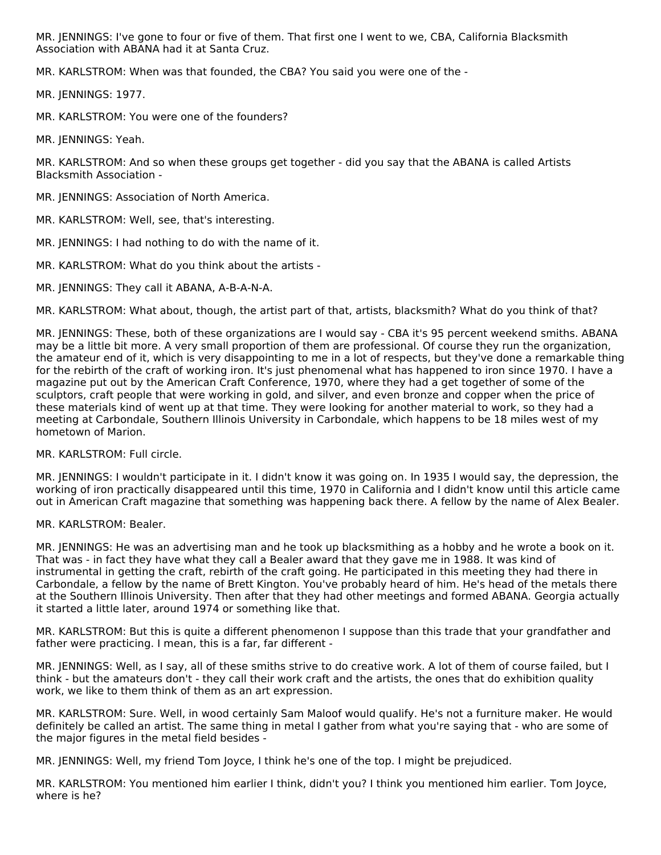MR. JENNINGS: I've gone to four or five of them. That first one I went to we, CBA, California Blacksmith Association with ABANA had it at Santa Cruz.

MR. KARLSTROM: When was that founded, the CBA? You said you were one of the -

MR. JENNINGS: 1977.

MR. KARLSTROM: You were one of the founders?

MR. JENNINGS: Yeah.

MR. KARLSTROM: And so when these groups get together - did you say that the ABANA is called Artists Blacksmith Association -

MR. JENNINGS: Association of North America.

MR. KARLSTROM: Well, see, that's interesting.

MR. JENNINGS: I had nothing to do with the name of it.

MR. KARLSTROM: What do you think about the artists -

MR. JENNINGS: They call it ABANA, A-B-A-N-A.

MR. KARLSTROM: What about, though, the artist part of that, artists, blacksmith? What do you think of that?

MR. JENNINGS: These, both of these organizations are I would say - CBA it's 95 percent weekend smiths. ABANA may be a little bit more. A very small proportion of them are professional. Of course they run the organization, the amateur end of it, which is very disappointing to me in a lot of respects, but they've done a remarkable thing for the rebirth of the craft of working iron. It's just phenomenal what has happened to iron since 1970. I have a magazine put out by the American Craft Conference, 1970, where they had a get together of some of the sculptors, craft people that were working in gold, and silver, and even bronze and copper when the price of these materials kind of went up at that time. They were looking for another material to work, so they had a meeting at Carbondale, Southern Illinois University in Carbondale, which happens to be 18 miles west of my hometown of Marion.

MR. KARLSTROM: Full circle.

MR. JENNINGS: I wouldn't participate in it. I didn't know it was going on. In 1935 I would say, the depression, the working of iron practically disappeared until this time, 1970 in California and I didn't know until this article came out in American Craft magazine that something was happening back there. A fellow by the name of Alex Bealer.

#### MR. KARLSTROM: Bealer.

MR. JENNINGS: He was an advertising man and he took up blacksmithing as a hobby and he wrote a book on it. That was - in fact they have what they call a Bealer award that they gave me in 1988. It was kind of instrumental in getting the craft, rebirth of the craft going. He participated in this meeting they had there in Carbondale, a fellow by the name of Brett Kington. You've probably heard of him. He's head of the metals there at the Southern Illinois University. Then after that they had other meetings and formed ABANA. Georgia actually it started a little later, around 1974 or something like that.

MR. KARLSTROM: But this is quite a different phenomenon I suppose than this trade that your grandfather and father were practicing. I mean, this is a far, far different -

MR. JENNINGS: Well, as I say, all of these smiths strive to do creative work. A lot of them of course failed, but I think - but the amateurs don't - they call their work craft and the artists, the ones that do exhibition quality work, we like to them think of them as an art expression.

MR. KARLSTROM: Sure. Well, in wood certainly Sam Maloof would qualify. He's not a furniture maker. He would definitely be called an artist. The same thing in metal I gather from what you're saying that - who are some of the major figures in the metal field besides -

MR. JENNINGS: Well, my friend Tom Joyce, I think he's one of the top. I might be prejudiced.

MR. KARLSTROM: You mentioned him earlier I think, didn't you? I think you mentioned him earlier. Tom Joyce, where is he?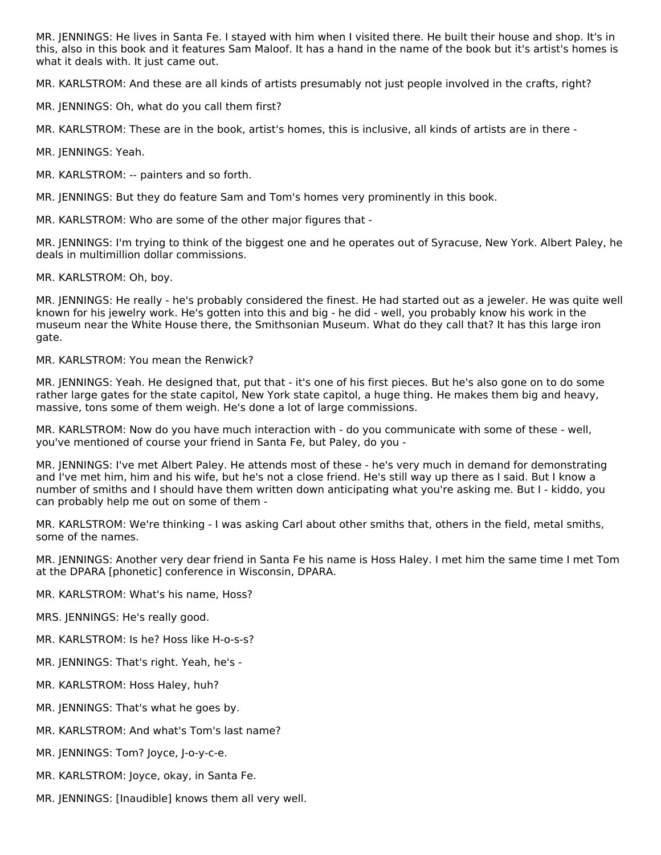MR. JENNINGS: He lives in Santa Fe. I stayed with him when I visited there. He built their house and shop. It's in this, also in this book and it features Sam Maloof. It has a hand in the name of the book but it's artist's homes is what it deals with. It just came out.

MR. KARLSTROM: And these are all kinds of artists presumably not just people involved in the crafts, right?

MR. JENNINGS: Oh, what do you call them first?

MR. KARLSTROM: These are in the book, artist's homes, this is inclusive, all kinds of artists are in there -

MR. JENNINGS: Yeah.

MR. KARLSTROM: -- painters and so forth.

MR. JENNINGS: But they do feature Sam and Tom's homes very prominently in this book.

MR. KARLSTROM: Who are some of the other major figures that -

MR. JENNINGS: I'm trying to think of the biggest one and he operates out of Syracuse, New York. Albert Paley, he deals in multimillion dollar commissions.

MR. KARLSTROM: Oh, boy.

MR. JENNINGS: He really - he's probably considered the finest. He had started out as a jeweler. He was quite well known for his jewelry work. He's gotten into this and big - he did - well, you probably know his work in the museum near the White House there, the Smithsonian Museum. What do they call that? It has this large iron gate.

MR. KARLSTROM: You mean the Renwick?

MR. JENNINGS: Yeah. He designed that, put that - it's one of his first pieces. But he's also gone on to do some rather large gates for the state capitol, New York state capitol, a huge thing. He makes them big and heavy, massive, tons some of them weigh. He's done a lot of large commissions.

MR. KARLSTROM: Now do you have much interaction with - do you communicate with some of these - well, you've mentioned of course your friend in Santa Fe, but Paley, do you -

MR. JENNINGS: I've met Albert Paley. He attends most of these - he's very much in demand for demonstrating and I've met him, him and his wife, but he's not a close friend. He's still way up there as I said. But I know a number of smiths and I should have them written down anticipating what you're asking me. But I - kiddo, you can probably help me out on some of them -

MR. KARLSTROM: We're thinking - I was asking Carl about other smiths that, others in the field, metal smiths, some of the names.

MR. JENNINGS: Another very dear friend in Santa Fe his name is Hoss Haley. I met him the same time I met Tom at the DPARA [phonetic] conference in Wisconsin, DPARA.

MR. KARLSTROM: What's his name, Hoss?

MRS. JENNINGS: He's really good.

MR. KARLSTROM: Is he? Hoss like H-o-s-s?

- MR. JENNINGS: That's right. Yeah, he's -
- MR. KARLSTROM: Hoss Haley, huh?
- MR. JENNINGS: That's what he goes by.
- MR. KARLSTROM: And what's Tom's last name?
- MR. JENNINGS: Tom? Joyce, J-o-y-c-e.
- MR. KARLSTROM: Joyce, okay, in Santa Fe.
- MR. JENNINGS: [Inaudible] knows them all very well.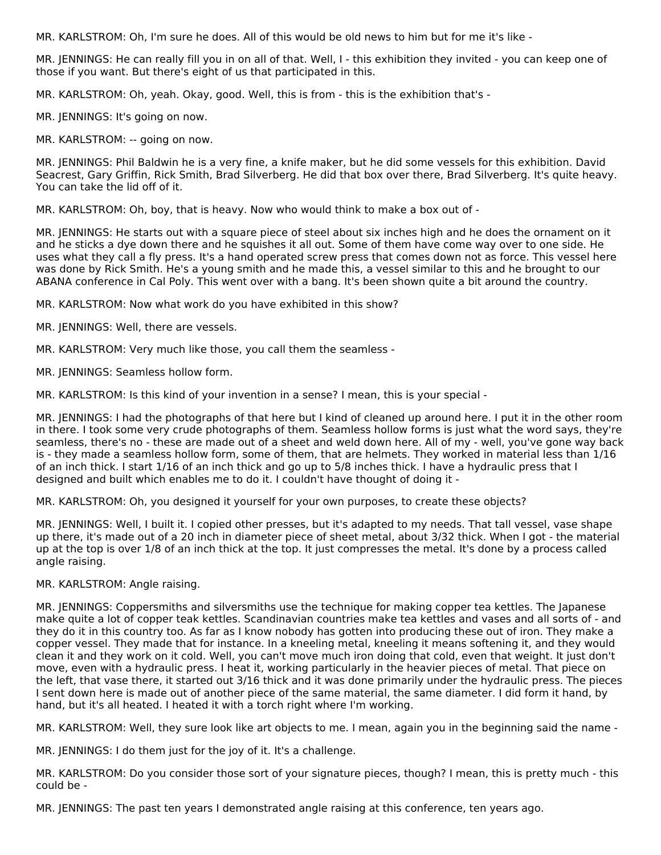MR. KARLSTROM: Oh, I'm sure he does. All of this would be old news to him but for me it's like -

MR. JENNINGS: He can really fill you in on all of that. Well, I - this exhibition they invited - you can keep one of those if you want. But there's eight of us that participated in this.

MR. KARLSTROM: Oh, yeah. Okay, good. Well, this is from - this is the exhibition that's -

MR. JENNINGS: It's going on now.

MR. KARLSTROM: -- going on now.

MR. JENNINGS: Phil Baldwin he is a very fine, a knife maker, but he did some vessels for this exhibition. David Seacrest, Gary Griffin, Rick Smith, Brad Silverberg. He did that box over there, Brad Silverberg. It's quite heavy. You can take the lid off of it.

MR. KARLSTROM: Oh, boy, that is heavy. Now who would think to make a box out of -

MR. JENNINGS: He starts out with a square piece of steel about six inches high and he does the ornament on it and he sticks a dye down there and he squishes it all out. Some of them have come way over to one side. He uses what they call a fly press. It's a hand operated screw press that comes down not as force. This vessel here was done by Rick Smith. He's a young smith and he made this, a vessel similar to this and he brought to our ABANA conference in Cal Poly. This went over with a bang. It's been shown quite a bit around the country.

MR. KARLSTROM: Now what work do you have exhibited in this show?

MR. JENNINGS: Well, there are vessels.

MR. KARLSTROM: Very much like those, you call them the seamless -

MR. JENNINGS: Seamless hollow form.

MR. KARLSTROM: Is this kind of your invention in a sense? I mean, this is your special -

MR. JENNINGS: I had the photographs of that here but I kind of cleaned up around here. I put it in the other room in there. I took some very crude photographs of them. Seamless hollow forms is just what the word says, they're seamless, there's no - these are made out of a sheet and weld down here. All of my - well, you've gone way back is - they made a seamless hollow form, some of them, that are helmets. They worked in material less than 1/16 of an inch thick. I start 1/16 of an inch thick and go up to 5/8 inches thick. I have a hydraulic press that I designed and built which enables me to do it. I couldn't have thought of doing it -

MR. KARLSTROM: Oh, you designed it yourself for your own purposes, to create these objects?

MR. JENNINGS: Well, I built it. I copied other presses, but it's adapted to my needs. That tall vessel, vase shape up there, it's made out of a 20 inch in diameter piece of sheet metal, about 3/32 thick. When I got - the material up at the top is over 1/8 of an inch thick at the top. It just compresses the metal. It's done by a process called angle raising.

#### MR. KARLSTROM: Angle raising.

MR. JENNINGS: Coppersmiths and silversmiths use the technique for making copper tea kettles. The Japanese make quite a lot of copper teak kettles. Scandinavian countries make tea kettles and vases and all sorts of - and they do it in this country too. As far as I know nobody has gotten into producing these out of iron. They make a copper vessel. They made that for instance. In a kneeling metal, kneeling it means softening it, and they would clean it and they work on it cold. Well, you can't move much iron doing that cold, even that weight. It just don't move, even with a hydraulic press. I heat it, working particularly in the heavier pieces of metal. That piece on the left, that vase there, it started out 3/16 thick and it was done primarily under the hydraulic press. The pieces I sent down here is made out of another piece of the same material, the same diameter. I did form it hand, by hand, but it's all heated. I heated it with a torch right where I'm working.

MR. KARLSTROM: Well, they sure look like art objects to me. I mean, again you in the beginning said the name -

MR. JENNINGS: I do them just for the joy of it. It's a challenge.

MR. KARLSTROM: Do you consider those sort of your signature pieces, though? I mean, this is pretty much - this could be -

MR. JENNINGS: The past ten years I demonstrated angle raising at this conference, ten years ago.